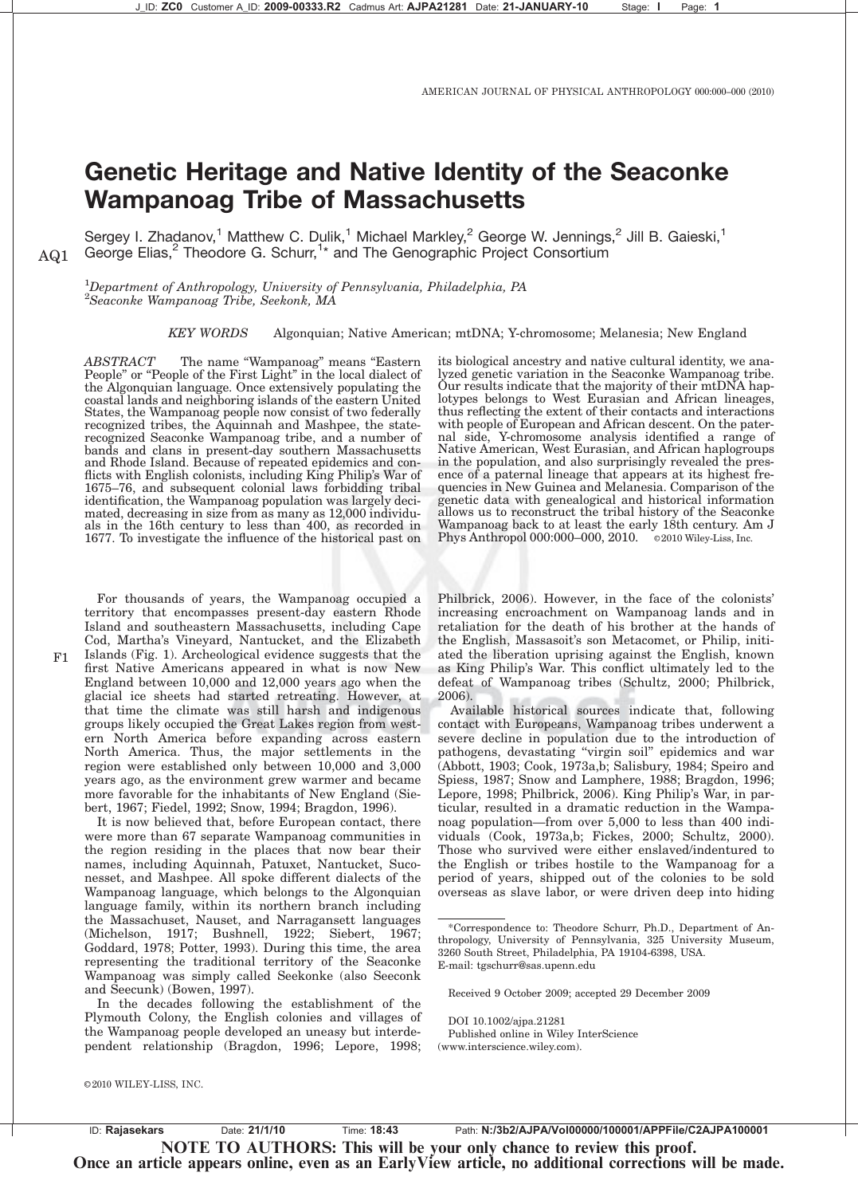AMERICAN JOURNAL OF PHYSICAL ANTHROPOLOGY 000:000–000 (2010)

# Genetic Heritage and Native Identity of the Seaconke Wampanoag Tribe of Massachusetts

Sergey I. Zhadanov,<sup>1</sup> Matthew C. Dulik,<sup>1</sup> Michael Markley,<sup>2</sup> George W. Jennings,<sup>2</sup> Jill B. Gaieski,<sup>1</sup>  $_{\rm AQ1}$  George Elias,<sup>2</sup> Theodore G. Schurr,<sup>1</sup>\* and The Genographic Project Consortium

<sup>1</sup>Department of Anthropology, University of Pennsylvania, Philadelphia, PA 2 Seaconke Wampanoag Tribe, Seekonk, MA

KEY WORDS Algonquian; Native American; mtDNA; Y-chromosome; Melanesia; New England

ABSTRACT The name "Wampanoag" means "Eastern People'' or ''People of the First Light'' in the local dialect of the Algonquian language. Once extensively populating the coastal lands and neighboring islands of the eastern United States, the Wampanoag people now consist of two federally recognized tribes, the Aquinnah and Mashpee, the staterecognized Seaconke Wampanoag tribe, and a number of bands and clans in present-day southern Massachusetts and Rhode Island. Because of repeated epidemics and conflicts with English colonists, including King Philip's War of 1675–76, and subsequent colonial laws forbidding tribal identification, the Wampanoag population was largely decimated, decreasing in size from as many as 12,000 individuals in the 16th century to less than 400, as recorded in 1677. To investigate the influence of the historical past on

For thousands of years, the Wampanoag occupied a territory that encompasses present-day eastern Rhode Island and southeastern Massachusetts, including Cape Cod, Martha's Vineyard, Nantucket, and the Elizabeth Islands (Fig. 1). Archeological evidence suggests that the first Native Americans appeared in what is now New England between 10,000 and 12,000 years ago when the glacial ice sheets had started retreating. However, at that time the climate was still harsh and indigenous groups likely occupied the Great Lakes region from western North America before expanding across eastern North America. Thus, the major settlements in the region were established only between 10,000 and 3,000 years ago, as the environment grew warmer and became more favorable for the inhabitants of New England (Siebert, 1967; Fiedel, 1992; Snow, 1994; Bragdon, 1996).

It is now believed that, before European contact, there were more than 67 separate Wampanoag communities in the region residing in the places that now bear their names, including Aquinnah, Patuxet, Nantucket, Suconesset, and Mashpee. All spoke different dialects of the Wampanoag language, which belongs to the Algonquian language family, within its northern branch including the Massachuset, Nauset, and Narragansett languages (Michelson, 1917; Bushnell, 1922; Siebert, 1967; Goddard, 1978; Potter, 1993). During this time, the area representing the traditional territory of the Seaconke Wampanoag was simply called Seekonke (also Seeconk and Seecunk) (Bowen, 1997).

In the decades following the establishment of the Plymouth Colony, the English colonies and villages of the Wampanoag people developed an uneasy but interdependent relationship (Bragdon, 1996; Lepore, 1998; its biological ancestry and native cultural identity, we analyzed genetic variation in the Seaconke Wampanoag tribe. Our results indicate that the majority of their mtDNA haplotypes belongs to West Eurasian and African lineages, thus reflecting the extent of their contacts and interactions with people of European and African descent. On the paternal side, Y-chromosome analysis identified a range of Native American, West Eurasian, and African haplogroups in the population, and also surprisingly revealed the presence of a paternal lineage that appears at its highest frequencies in New Guinea and Melanesia. Comparison of the genetic data with genealogical and historical information allows us to reconstruct the tribal history of the Seaconke Wampanoag back to at least the early 18th century. Am J Phys Anthropol  $000:000-000$ ,  $2010$ .  $\circ$  2010 Wiley-Liss, Inc.

Philbrick, 2006). However, in the face of the colonists' increasing encroachment on Wampanoag lands and in retaliation for the death of his brother at the hands of the English, Massasoit's son Metacomet, or Philip, initiated the liberation uprising against the English, known as King Philip's War. This conflict ultimately led to the defeat of Wampanoag tribes (Schultz, 2000; Philbrick, 2006).

Available historical sources indicate that, following contact with Europeans, Wampanoag tribes underwent a severe decline in population due to the introduction of pathogens, devastating ''virgin soil'' epidemics and war (Abbott, 1903; Cook, 1973a,b; Salisbury, 1984; Speiro and Spiess, 1987; Snow and Lamphere, 1988; Bragdon, 1996; Lepore, 1998; Philbrick, 2006). King Philip's War, in particular, resulted in a dramatic reduction in the Wampanoag population—from over 5,000 to less than 400 individuals (Cook, 1973a,b; Fickes, 2000; Schultz, 2000). Those who survived were either enslaved/indentured to the English or tribes hostile to the Wampanoag for a period of years, shipped out of the colonies to be sold overseas as slave labor, or were driven deep into hiding

Received 9 October 2009; accepted 29 December 2009

DOI 10.1002/ajpa.21281 Published online in Wiley InterScience (www.interscience.wiley.com).

©2010 WILEY-LISS, INC.

<sup>\*</sup>Correspondence to: Theodore Schurr, Ph.D., Department of Anthropology, University of Pennsylvania, 325 University Museum, 3260 South Street, Philadelphia, PA 19104-6398, USA. E-mail: tgschurr@sas.upenn.edu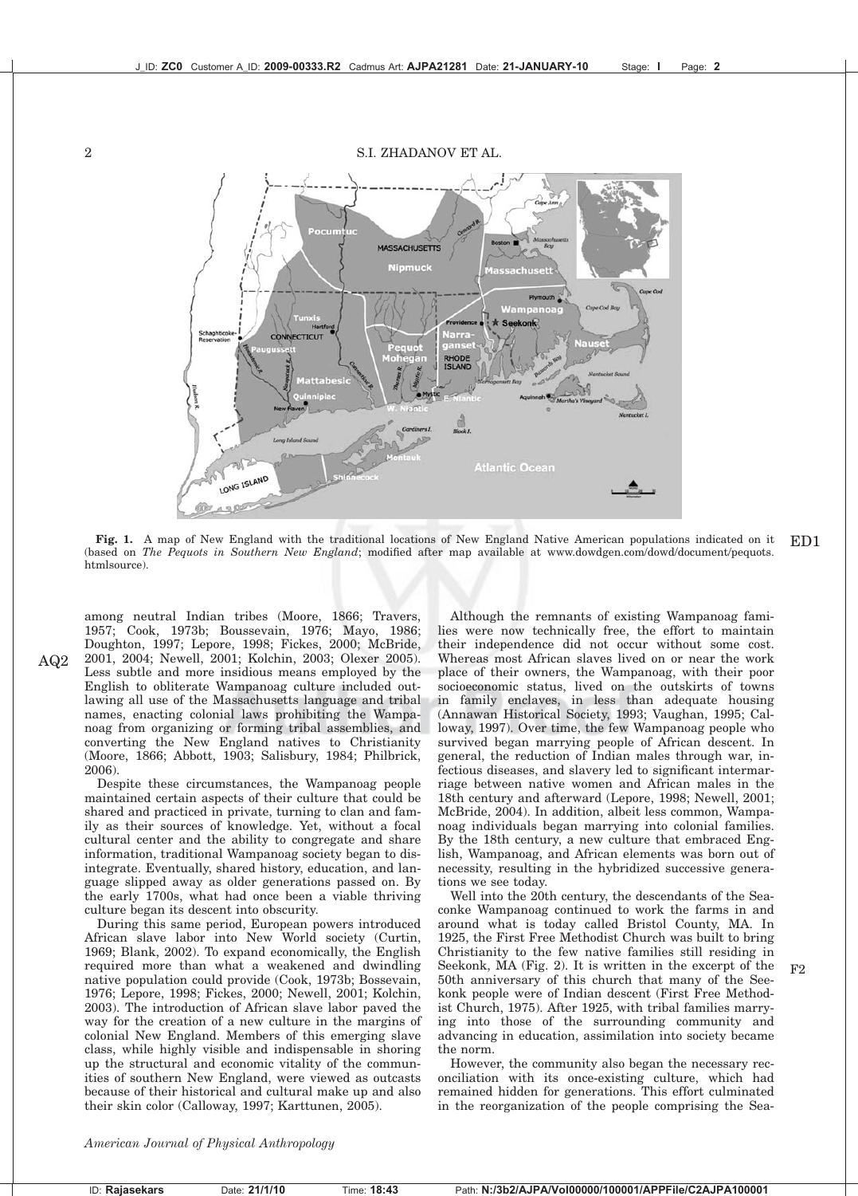



Fig. 1. A map of New England with the traditional locations of New England Native American populations indicated on it ED1 (based on The Pequots in Southern New England; modified after map available at www.dowdgen.com/dowd/document/pequots. htmlsource).

among neutral Indian tribes (Moore, 1866; Travers, 1957; Cook, 1973b; Boussevain, 1976; Mayo, 1986; Doughton, 1997; Lepore, 1998; Fickes, 2000; McBride, AQ2 2001, 2004; Newell, 2001; Kolchin, 2003; Olexer 2005). Less subtle and more insidious means employed by the English to obliterate Wampanoag culture included outlawing all use of the Massachusetts language and tribal names, enacting colonial laws prohibiting the Wampanoag from organizing or forming tribal assemblies, and converting the New England natives to Christianity (Moore, 1866; Abbott, 1903; Salisbury, 1984; Philbrick, 2006).

Despite these circumstances, the Wampanoag people maintained certain aspects of their culture that could be shared and practiced in private, turning to clan and family as their sources of knowledge. Yet, without a focal cultural center and the ability to congregate and share information, traditional Wampanoag society began to disintegrate. Eventually, shared history, education, and language slipped away as older generations passed on. By the early 1700s, what had once been a viable thriving culture began its descent into obscurity.

During this same period, European powers introduced African slave labor into New World society (Curtin, 1969; Blank, 2002). To expand economically, the English required more than what a weakened and dwindling native population could provide (Cook, 1973b; Bossevain, 1976; Lepore, 1998; Fickes, 2000; Newell, 2001; Kolchin, 2003). The introduction of African slave labor paved the way for the creation of a new culture in the margins of colonial New England. Members of this emerging slave class, while highly visible and indispensable in shoring up the structural and economic vitality of the communities of southern New England, were viewed as outcasts because of their historical and cultural make up and also their skin color (Calloway, 1997; Karttunen, 2005).

Although the remnants of existing Wampanoag families were now technically free, the effort to maintain their independence did not occur without some cost. Whereas most African slaves lived on or near the work place of their owners, the Wampanoag, with their poor socioeconomic status, lived on the outskirts of towns in family enclaves, in less than adequate housing (Annawan Historical Society, 1993; Vaughan, 1995; Calloway, 1997). Over time, the few Wampanoag people who survived began marrying people of African descent. In general, the reduction of Indian males through war, infectious diseases, and slavery led to significant intermarriage between native women and African males in the 18th century and afterward (Lepore, 1998; Newell, 2001; McBride, 2004). In addition, albeit less common, Wampanoag individuals began marrying into colonial families. By the 18th century, a new culture that embraced English, Wampanoag, and African elements was born out of necessity, resulting in the hybridized successive generations we see today.

Well into the 20th century, the descendants of the Seaconke Wampanoag continued to work the farms in and around what is today called Bristol County, MA. In 1925, the First Free Methodist Church was built to bring Christianity to the few native families still residing in Seekonk, MA (Fig. 2). It is written in the excerpt of the  $F_2$ 50th anniversary of this church that many of the Seekonk people were of Indian descent (First Free Methodist Church, 1975). After 1925, with tribal families marrying into those of the surrounding community and advancing in education, assimilation into society became the norm.

However, the community also began the necessary reconciliation with its once-existing culture, which had remained hidden for generations. This effort culminated in the reorganization of the people comprising the Sea-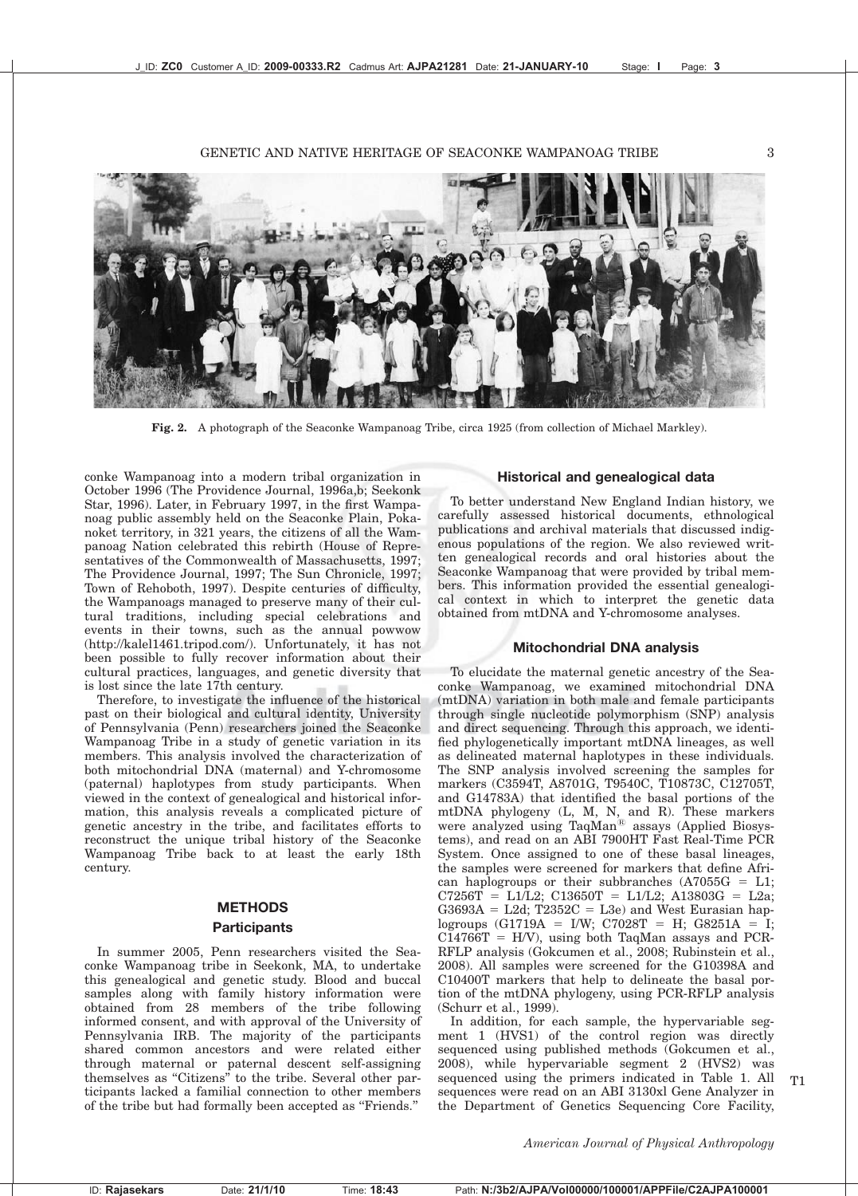GENETIC AND NATIVE HERITAGE OF SEACONKE WAMPANOAG TRIBE  $\qquad \qquad 3$ 



Fig. 2. A photograph of the Seaconke Wampanoag Tribe, circa 1925 (from collection of Michael Markley).

conke Wampanoag into a modern tribal organization in October 1996 (The Providence Journal, 1996a,b; Seekonk Star, 1996). Later, in February 1997, in the first Wampanoag public assembly held on the Seaconke Plain, Pokanoket territory, in 321 years, the citizens of all the Wampanoag Nation celebrated this rebirth (House of Representatives of the Commonwealth of Massachusetts, 1997; The Providence Journal, 1997; The Sun Chronicle, 1997; Town of Rehoboth, 1997). Despite centuries of difficulty, the Wampanoags managed to preserve many of their cultural traditions, including special celebrations and events in their towns, such as the annual powwow (http://kalel1461.tripod.com/). Unfortunately, it has not been possible to fully recover information about their cultural practices, languages, and genetic diversity that is lost since the late 17th century.

Therefore, to investigate the influence of the historical past on their biological and cultural identity, University of Pennsylvania (Penn) researchers joined the Seaconke Wampanoag Tribe in a study of genetic variation in its members. This analysis involved the characterization of both mitochondrial DNA (maternal) and Y-chromosome (paternal) haplotypes from study participants. When viewed in the context of genealogical and historical information, this analysis reveals a complicated picture of genetic ancestry in the tribe, and facilitates efforts to reconstruct the unique tribal history of the Seaconke Wampanoag Tribe back to at least the early 18th century.

# **METHODS**

#### **Participants**

In summer 2005, Penn researchers visited the Seaconke Wampanoag tribe in Seekonk, MA, to undertake this genealogical and genetic study. Blood and buccal samples along with family history information were obtained from 28 members of the tribe following informed consent, and with approval of the University of Pennsylvania IRB. The majority of the participants shared common ancestors and were related either through maternal or paternal descent self-assigning themselves as ''Citizens'' to the tribe. Several other participants lacked a familial connection to other members of the tribe but had formally been accepted as ''Friends.''

#### Historical and genealogical data

To better understand New England Indian history, we carefully assessed historical documents, ethnological publications and archival materials that discussed indigenous populations of the region. We also reviewed written genealogical records and oral histories about the Seaconke Wampanoag that were provided by tribal members. This information provided the essential genealogical context in which to interpret the genetic data obtained from mtDNA and Y-chromosome analyses.

#### Mitochondrial DNA analysis

To elucidate the maternal genetic ancestry of the Seaconke Wampanoag, we examined mitochondrial DNA (mtDNA) variation in both male and female participants through single nucleotide polymorphism (SNP) analysis and direct sequencing. Through this approach, we identified phylogenetically important mtDNA lineages, as well as delineated maternal haplotypes in these individuals. The SNP analysis involved screening the samples for markers (C3594T, A8701G, T9540C, T10873C, C12705T, and G14783A) that identified the basal portions of the mtDNA phylogeny (L, M, N, and R). These markers<br>were analyzed using TaqMan<sup>®</sup> assays (Applied Biosystems), and read on an ABI 7900HT Fast Real-Time PCR System. Once assigned to one of these basal lineages, the samples were screened for markers that define African haplogroups or their subbranches  $(A7055G = L1;$  $C7256T = L1/L2$ ;  $C13650T = L1/L2$ ;  $A13803G = L2a$ ; G3693A = L2d; T2352C = L3e) and West Eurasian haplogroups  $(G1719A = I/W$ ; C7028T = H; G8251A = I;  $C14766T = H/V$ , using both TaqMan assays and PCR-RFLP analysis (Gokcumen et al., 2008; Rubinstein et al., 2008). All samples were screened for the G10398A and C10400T markers that help to delineate the basal portion of the mtDNA phylogeny, using PCR-RFLP analysis (Schurr et al., 1999).

In addition, for each sample, the hypervariable segment 1 (HVS1) of the control region was directly sequenced using published methods (Gokcumen et al., 2008), while hypervariable segment 2 (HVS2) was sequenced using the primers indicated in Table 1. All  $_T1$ sequences were read on an ABI 3130xl Gene Analyzer in the Department of Genetics Sequencing Core Facility,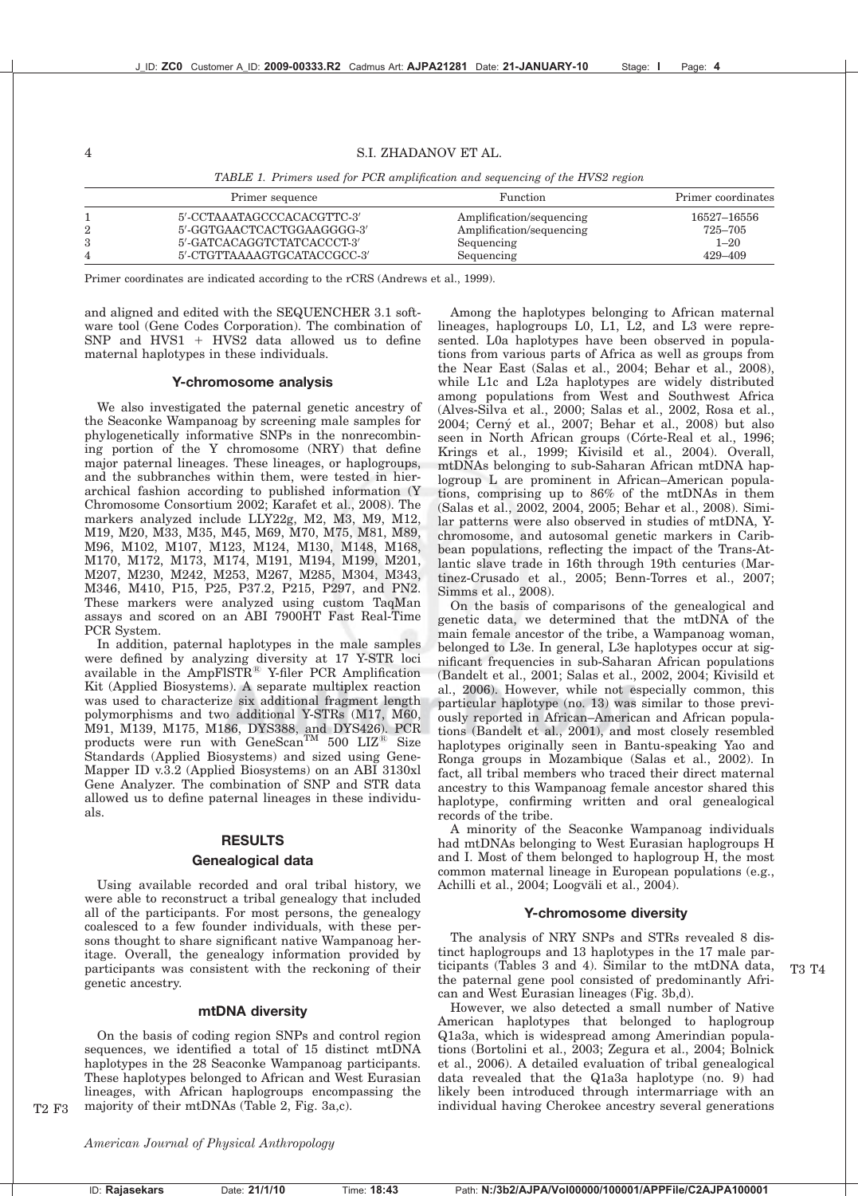4 S.I. ZHADANOV ET AL.

|   | Primer sequence             | Function                 | Primer coordinates |  |  |
|---|-----------------------------|--------------------------|--------------------|--|--|
|   | 5'-CCTAAATAGCCCACACGTTC-3'  | Amplification/sequencing | 16527–16556        |  |  |
| 2 | 5'-GGTGAACTCACTGGAAGGGG-3'  | Amplification/sequencing | 725–705            |  |  |
| 3 | 5'-GATCACAGGTCTATCACCCT-3'  | Sequencing               | $1 - 20$           |  |  |
|   | 5'-CTGTTAAAAGTGCATACCGCC-3' | Sequencing               | $429 - 409$        |  |  |

TABLE 1. Primers used for PCR amplification and sequencing of the HVS2 region

Primer coordinates are indicated according to the rCRS (Andrews et al., 1999).

and aligned and edited with the SEQUENCHER 3.1 software tool (Gene Codes Corporation). The combination of SNP and  $HVS1 + HVS2$  data allowed us to define maternal haplotypes in these individuals.

#### Y-chromosome analysis

We also investigated the paternal genetic ancestry of the Seaconke Wampanoag by screening male samples for phylogenetically informative SNPs in the nonrecombining portion of the Y chromosome (NRY) that define major paternal lineages. These lineages, or haplogroups, and the subbranches within them, were tested in hierarchical fashion according to published information (Y Chromosome Consortium 2002; Karafet et al., 2008). The markers analyzed include LLY22g, M2, M3, M9, M12, M19, M20, M33, M35, M45, M69, M70, M75, M81, M89, M96, M102, M107, M123, M124, M130, M148, M168, M170, M172, M173, M174, M191, M194, M199, M201, M207, M230, M242, M253, M267, M285, M304, M343, M346, M410, P15, P25, P37.2, P215, P297, and PN2. These markers were analyzed using custom TaqMan assays and scored on an ABI 7900HT Fast Real-Time PCR System.

In addition, paternal haplotypes in the male samples were defined by analyzing diversity at 17 Y-STR loci available in the  $AmpFISTR^{\circledR}$  Y-filer PCR Amplification Kit (Applied Biosystems). A separate multiplex reaction was used to characterize six additional fragment length polymorphisms and two additional Y-STRs (M17, M60, M91, M139, M175, M186, DYS388, and DYS426). PCR<br>products were run with GeneScan™ 500 LIZ® Size Standards (Applied Biosystems) and sized using Gene-Mapper ID v.3.2 (Applied Biosystems) on an ABI 3130xl Gene Analyzer. The combination of SNP and STR data allowed us to define paternal lineages in these individuals.

#### RESULTS

#### Genealogical data

Using available recorded and oral tribal history, we were able to reconstruct a tribal genealogy that included all of the participants. For most persons, the genealogy coalesced to a few founder individuals, with these persons thought to share significant native Wampanoag heritage. Overall, the genealogy information provided by participants was consistent with the reckoning of their genetic ancestry.

# mtDNA diversity

On the basis of coding region SNPs and control region sequences, we identified a total of 15 distinct mtDNA haplotypes in the 28 Seaconke Wampanoag participants. These haplotypes belonged to African and West Eurasian lineages, with African haplogroups encompassing the T2 F3 majority of their mtDNAs (Table 2, Fig. 3a,c).

American Journal of Physical Anthropology

Among the haplotypes belonging to African maternal lineages, haplogroups L0, L1, L2, and L3 were represented. L0a haplotypes have been observed in populations from various parts of Africa as well as groups from the Near East (Salas et al., 2004; Behar et al., 2008), while L1c and L2a haplotypes are widely distributed among populations from West and Southwest Africa (Alves-Silva et al., 2000; Salas et al., 2002, Rosa et al., 2004; Cerny´ et al., 2007; Behar et al., 2008) but also seen in North African groups (Córte-Real et al., 1996; Krings et al., 1999; Kivisild et al., 2004). Overall, mtDNAs belonging to sub-Saharan African mtDNA haplogroup L are prominent in African–American populations, comprising up to 86% of the mtDNAs in them (Salas et al., 2002, 2004, 2005; Behar et al., 2008). Similar patterns were also observed in studies of mtDNA, Ychromosome, and autosomal genetic markers in Caribbean populations, reflecting the impact of the Trans-Atlantic slave trade in 16th through 19th centuries (Martinez-Crusado et al., 2005; Benn-Torres et al., 2007; Simms et al., 2008).

On the basis of comparisons of the genealogical and genetic data, we determined that the mtDNA of the main female ancestor of the tribe, a Wampanoag woman, belonged to L3e. In general, L3e haplotypes occur at significant frequencies in sub-Saharan African populations (Bandelt et al., 2001; Salas et al., 2002, 2004; Kivisild et al., 2006). However, while not especially common, this particular haplotype (no. 13) was similar to those previously reported in African–American and African populations (Bandelt et al., 2001), and most closely resembled haplotypes originally seen in Bantu-speaking Yao and Ronga groups in Mozambique (Salas et al., 2002). In fact, all tribal members who traced their direct maternal ancestry to this Wampanoag female ancestor shared this haplotype, confirming written and oral genealogical records of the tribe.

A minority of the Seaconke Wampanoag individuals had mtDNAs belonging to West Eurasian haplogroups H and I. Most of them belonged to haplogroup H, the most common maternal lineage in European populations (e.g., Achilli et al., 2004; Loogväli et al., 2004).

#### Y-chromosome diversity

The analysis of NRY SNPs and STRs revealed 8 distinct haplogroups and 13 haplotypes in the 17 male participants (Tables 3 and 4). Similar to the mtDNA data,  $T_3 T_4$ the paternal gene pool consisted of predominantly African and West Eurasian lineages (Fig. 3b,d).

However, we also detected a small number of Native American haplotypes that belonged to haplogroup Q1a3a, which is widespread among Amerindian populations (Bortolini et al., 2003; Zegura et al., 2004; Bolnick et al., 2006). A detailed evaluation of tribal genealogical data revealed that the Q1a3a haplotype (no. 9) had likely been introduced through intermarriage with an individual having Cherokee ancestry several generations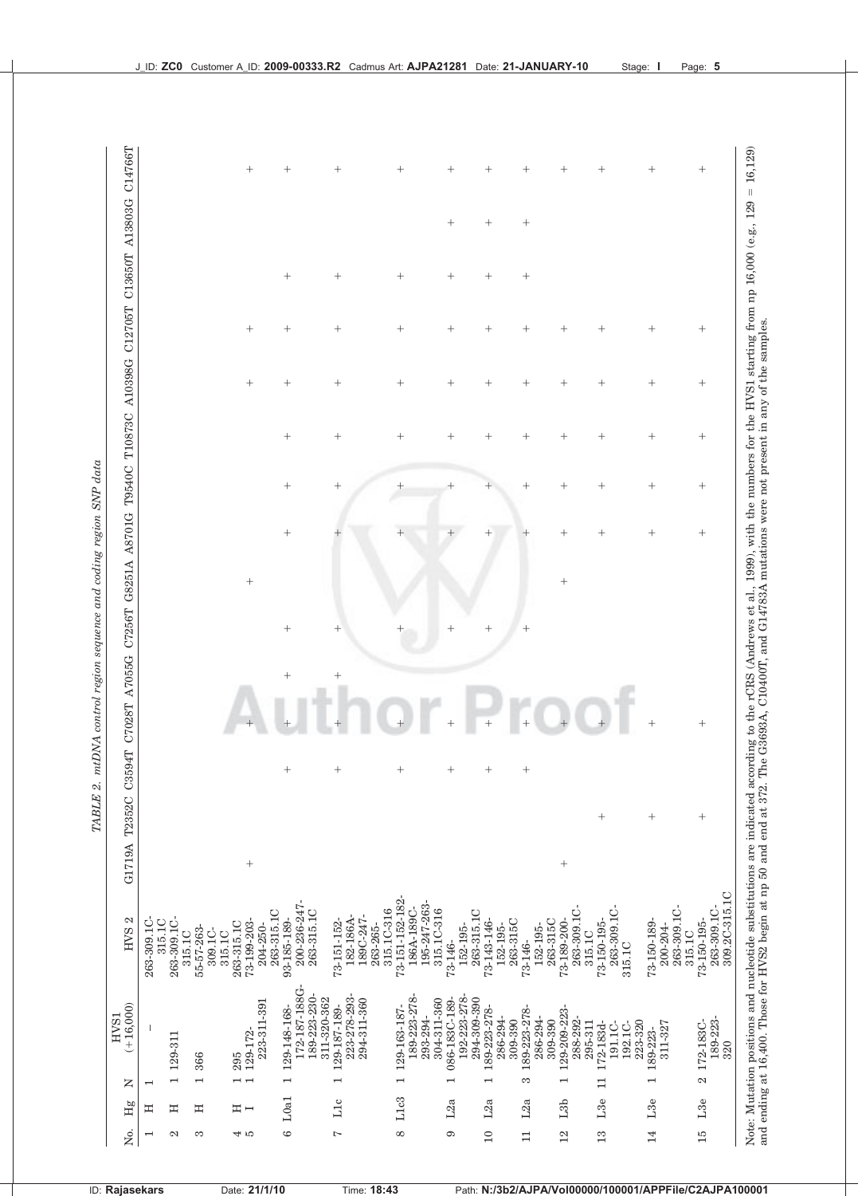|                                                          |                                                                                                                |                          |             |                                 |                       | $^{+}$                  | $^{+}$                    |                                              | $^{+}$                                      |                        | $^{+}$                         |              | $^{+}$                       |                             | $\overline{+}$     |                      | $\hspace{0.1mm} +$       | $^+$                    |                       | $^{+}$             |                       | $^{+}$              |                         |        | $^{+}$                                           |                                                                                                                                                                                                                                   |
|----------------------------------------------------------|----------------------------------------------------------------------------------------------------------------|--------------------------|-------------|---------------------------------|-----------------------|-------------------------|---------------------------|----------------------------------------------|---------------------------------------------|------------------------|--------------------------------|--------------|------------------------------|-----------------------------|--------------------|----------------------|--------------------------|-------------------------|-----------------------|--------------------|-----------------------|---------------------|-------------------------|--------|--------------------------------------------------|-----------------------------------------------------------------------------------------------------------------------------------------------------------------------------------------------------------------------------------|
|                                                          |                                                                                                                |                          |             |                                 |                       |                         |                           |                                              |                                             |                        |                                |              | $^+$                         |                             | $\hspace{0.1mm} +$ |                      | $^+$                     |                         |                       |                    |                       |                     |                         |        |                                                  |                                                                                                                                                                                                                                   |
|                                                          |                                                                                                                |                          |             |                                 |                       |                         | $^+$                      |                                              | $^{+}$                                      |                        | $\hspace{0.1mm} +$             |              |                              |                             | $\hspace{0.1mm} +$ |                      | $^+$                     |                         |                       |                    |                       |                     |                         |        |                                                  |                                                                                                                                                                                                                                   |
|                                                          |                                                                                                                |                          |             |                                 |                       | $^{+}$                  | $\hspace{0.1mm} +$        |                                              | $^{+}$                                      |                        | $^{+}$                         |              | $^+$                         |                             | $^+$               |                      | $^+$                     | $^+$                    |                       | $^{+}$             |                       | $^{+}$              |                         |        | $^{+}$                                           |                                                                                                                                                                                                                                   |
|                                                          |                                                                                                                |                          |             |                                 |                       | $^{+}$                  | $^+$                      |                                              | $^{+}$                                      |                        | $^+$                           |              | $^{+}$                       |                             | $^{+}$             |                      | $^+$                     | $^+$                    |                       | $^{+}$             |                       | $^{+}$              |                         |        | $^{+}$                                           |                                                                                                                                                                                                                                   |
|                                                          |                                                                                                                |                          |             |                                 |                       |                         | $^{+}$                    |                                              | $^{+}$                                      |                        | $^{+}$                         |              | $\overline{+}$               |                             |                    |                      | $^+$                     | $^{+}$                  |                       | $\hspace{0.1mm} +$ |                       | $^{+}$              |                         |        | $^+$                                             |                                                                                                                                                                                                                                   |
|                                                          |                                                                                                                |                          |             |                                 |                       |                         | $^{+}$                    |                                              | $^{+}$                                      |                        |                                |              |                              |                             |                    |                      | $^{+}$                   | $^{+}$                  |                       | $^{+}$             |                       | $^{+}$              |                         |        | $^{+}$                                           |                                                                                                                                                                                                                                   |
|                                                          |                                                                                                                |                          |             |                                 |                       |                         | $\! + \!\!\!\!$           |                                              |                                             |                        |                                |              |                              |                             | $\overline{+}$     |                      |                          | $^{+}$                  |                       | $^{+}$             |                       | $^{+}$              |                         |        | $^+$                                             |                                                                                                                                                                                                                                   |
|                                                          |                                                                                                                |                          |             |                                 |                       |                         |                           |                                              |                                             |                        |                                |              |                              |                             |                    |                      |                          | $^{+}$                  |                       |                    |                       |                     |                         |        |                                                  |                                                                                                                                                                                                                                   |
|                                                          |                                                                                                                |                          |             |                                 |                       |                         | $^{+}$<br>$^+$            |                                              | $^{+}$<br>$^+$                              |                        |                                |              | $^{+}$                       |                             | $^{+}$             |                      | $^{+}$                   |                         |                       |                    |                       |                     |                         |        |                                                  |                                                                                                                                                                                                                                   |
| mtDNA control region sequence and coding region SNP data | G1719A T2352C C3594T C7028T A7056G C7256T G8251A A8701G T9540C T10873C A10398G C12765T C13650T A13803G C14766T |                          |             |                                 |                       |                         |                           |                                              |                                             |                        |                                |              |                              |                             |                    |                      |                          |                         |                       |                    |                       |                     |                         |        | $^+$                                             |                                                                                                                                                                                                                                   |
|                                                          |                                                                                                                |                          |             |                                 |                       |                         | $^{+}$                    |                                              | $^{+}$                                      |                        | $^{+}$                         |              | $^{+}$                       |                             | $^{+}$             |                      | $^{+}$                   |                         |                       |                    |                       |                     |                         |        |                                                  |                                                                                                                                                                                                                                   |
| TABLE <sub>2</sub> .                                     |                                                                                                                |                          |             |                                 |                       |                         |                           |                                              |                                             |                        |                                |              |                              |                             |                    |                      |                          |                         |                       | $^{+}$             |                       | $^{+}$              |                         |        | $^{+}$                                           |                                                                                                                                                                                                                                   |
|                                                          |                                                                                                                |                          |             |                                 |                       | $^{+}$                  |                           |                                              |                                             |                        |                                |              |                              |                             |                    |                      |                          | $^{+}$                  |                       |                    |                       |                     |                         |        |                                                  |                                                                                                                                                                                                                                   |
|                                                          | HVS <sub>2</sub>                                                                                               | 263-309.1C-<br>315.1C    | 263-309.1C- | 55-57-263-<br>309.1C-<br>315.1C | 263-315.1C<br>315.1C  | 73-199-203-<br>204-250- | 263-315.1C<br>93-185-189- | 200-236-247-<br>263-315.1C                   | 189C-247-<br>182-186A-<br>$73 - 151 - 152$  | 315.1C-316<br>263-265- | 73-151-152-182-<br>186A-189C-  | 195-247-263- | 315.1C-316<br>73-146-        | 263-315.1C<br>152-195-      | 73-143-146-        | 263-315C<br>152-195- | 152-195-<br>73-146-      | 73-189-200-<br>263-315C | 263-309.1C-<br>315.1C | 73-150-195-        | 263-309.1C-<br>315.1C | 73-150-189-         | 263-309.1C-<br>200-204- | 315.1C | 309.2C-315.1C<br>263-309.1C-<br>73-150-195-      |                                                                                                                                                                                                                                   |
|                                                          | $(+16,000)$<br>HVS1                                                                                            | $\overline{\phantom{a}}$ | 129-311     |                                 |                       | 223-311-391<br>129-172- | 129-148-168-              | 172-187-188G-<br>189-223-230-<br>311-320-362 | 223-278-293-<br>294-311-360<br>129-187-189- |                        | 189-223-278-<br>1 129-163-187- | 293-294-     | 086-183C-189-<br>304-311-360 | 192-223-278-<br>294-309-390 | 189-223-278-       | 286-294-<br>309-390  | 189-223-278-<br>286-294- | 129-209-223-<br>309-390 | 288-292-<br>295-311   | 172-183d-          | 191.1C-<br>192.1C-    | 223-320<br>189-223- | 311-327                 |        | 189-223-<br>2 172-183C-<br>320                   | Note: Mutation positions and nucleotide substitutions are indicated according to the rCRS (Andrews et al., 1999), with the numbers for the HVS1 starting from np 16,000 (e.g., 129 = 16,129)<br>and ending at 16,400. Those for H |
|                                                          | Z                                                                                                              |                          |             | 366<br>$\overline{ }$           | 295<br>$\overline{ }$ | $\overline{a}$          | $\overline{a}$            |                                              | $\overline{ }$                              |                        |                                |              | $\overline{ }$               |                             | $\overline{ }$     |                      | S                        | $\mathbf{r}$            |                       | $\Box$             |                       | $\overline{ }$      |                         |        |                                                  |                                                                                                                                                                                                                                   |
|                                                          | $\rm Hg$                                                                                                       | Ξ                        | ᄇ           | Ξ                               | Ξ                     | $\overline{ }$          | L0a1                      |                                              | Llc                                         |                        | L1c3                           |              | L <sub>2a</sub>              |                             | L <sub>2a</sub>    |                      | L <sub>2a</sub>          | L <sub>3b</sub>         |                       | L3e                |                       | L <sub>3e</sub>     |                         |        | L <sub>3e</sub>                                  |                                                                                                                                                                                                                                   |
|                                                          | Σó.                                                                                                            |                          | 2           | ွ                               |                       | 4 ro                    | అ                         |                                              | Ņ                                           |                        | 8                              |              | $\circ$                      |                             | $\overline{10}$    |                      | $\Box$                   | 12                      |                       | 13                 |                       | 14                  |                         |        | 15                                               |                                                                                                                                                                                                                                   |
|                                                          | ID: Rajasekars                                                                                                 |                          |             |                                 |                       | Date: 21/1/10           |                           |                                              |                                             | Time: 18:43            |                                |              |                              | Path:                       |                    |                      |                          |                         |                       |                    |                       |                     |                         |        | N:/3b2/AJPA/Vol00000/100001/APPFile/C2AJPA100001 |                                                                                                                                                                                                                                   |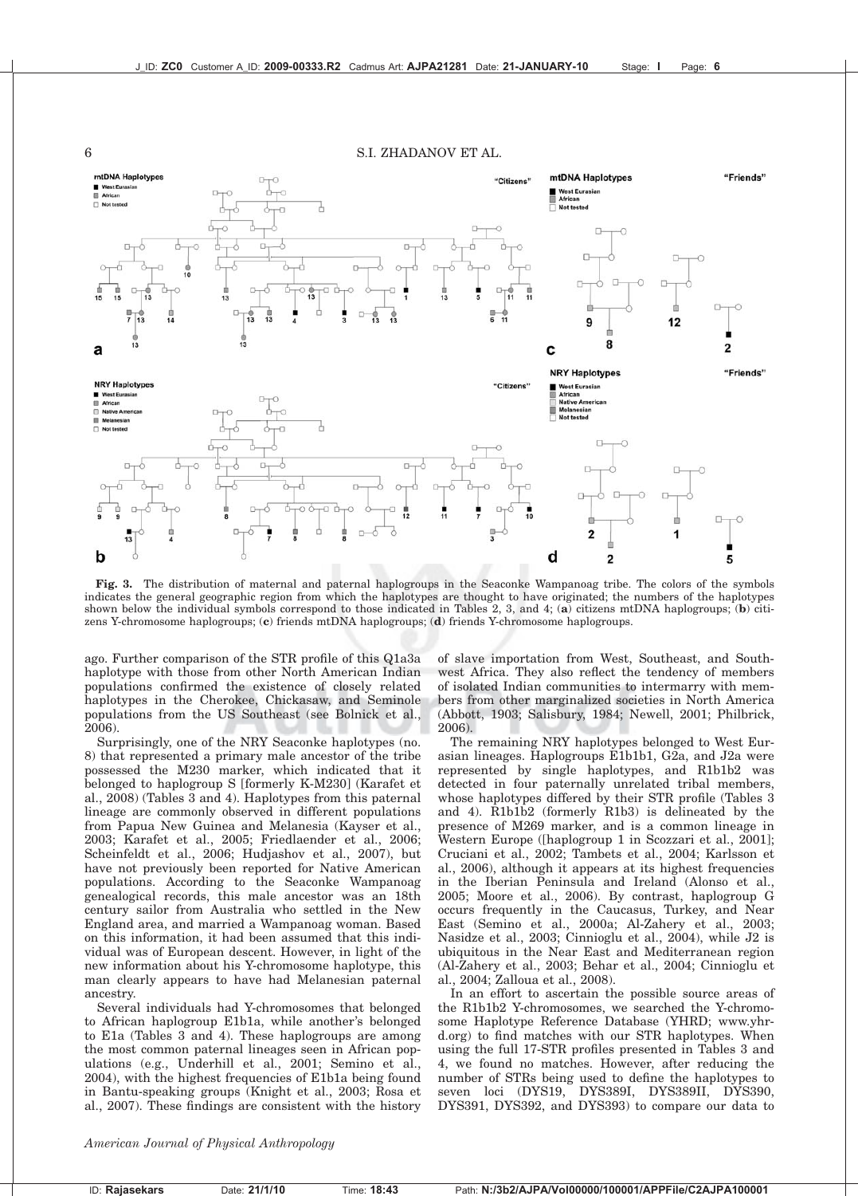mtDNA Haplotypes "Friends" mtDNA Haplotypes "Citizens" West E West Euras<br>African  $\Box$  Not tester  $\Box$  $\Box$ пŕ  $\frac{6}{13}$  $\frac{1}{13}$  $\frac{6}{13}$ 9 12  $\frac{6}{12}$ R  $\frac{8}{13}$  $\overline{2}$ a C **NRY Haplotypes** "Friends" **NRY Haplotypes** "Citizens" West Eurasian<br>African Amcan<br>Native Americar Not tested E M ò □ Not tested ъ -o ò оò Ö  $\Box$  $\overline{2}$ b d  $\overline{\mathbf{2}}$ 5

Fig. 3. The distribution of maternal and paternal haplogroups in the Seaconke Wampanoag tribe. The colors of the symbols indicates the general geographic region from which the haplotypes are thought to have originated; the numbers of the haplotypes shown below the individual symbols correspond to those indicated in Tables 2, 3, and 4; (a) citizens mtDNA haplogroups; (b) citizens Y-chromosome haplogroups; (c) friends mtDNA haplogroups; (d) friends Y-chromosome haplogroups.

ago. Further comparison of the STR profile of this Q1a3a haplotype with those from other North American Indian populations confirmed the existence of closely related haplotypes in the Cherokee, Chickasaw, and Seminole populations from the US Southeast (see Bolnick et al., 2006).

Surprisingly, one of the NRY Seaconke haplotypes (no. 8) that represented a primary male ancestor of the tribe possessed the M230 marker, which indicated that it belonged to haplogroup S [formerly K-M230] (Karafet et al., 2008) (Tables 3 and 4). Haplotypes from this paternal lineage are commonly observed in different populations from Papua New Guinea and Melanesia (Kayser et al., 2003; Karafet et al., 2005; Friedlaender et al., 2006; Scheinfeldt et al., 2006; Hudjashov et al., 2007), but have not previously been reported for Native American populations. According to the Seaconke Wampanoag genealogical records, this male ancestor was an 18th century sailor from Australia who settled in the New England area, and married a Wampanoag woman. Based on this information, it had been assumed that this individual was of European descent. However, in light of the new information about his Y-chromosome haplotype, this man clearly appears to have had Melanesian paternal ancestry.

Several individuals had Y-chromosomes that belonged to African haplogroup E1b1a, while another's belonged to E1a (Tables 3 and 4). These haplogroups are among the most common paternal lineages seen in African populations (e.g., Underhill et al., 2001; Semino et al., 2004), with the highest frequencies of E1b1a being found in Bantu-speaking groups (Knight et al., 2003; Rosa et al., 2007). These findings are consistent with the history of slave importation from West, Southeast, and Southwest Africa. They also reflect the tendency of members of isolated Indian communities to intermarry with members from other marginalized societies in North America (Abbott, 1903; Salisbury, 1984; Newell, 2001; Philbrick, 2006).

The remaining NRY haplotypes belonged to West Eurasian lineages. Haplogroups E1b1b1, G2a, and J2a were represented by single haplotypes, and R1b1b2 was detected in four paternally unrelated tribal members, whose haplotypes differed by their STR profile (Tables 3 and 4). R1b1b2 (formerly R1b3) is delineated by the presence of M269 marker, and is a common lineage in Western Europe ([haplogroup 1 in Scozzari et al., 2001]; Cruciani et al., 2002; Tambets et al., 2004; Karlsson et al., 2006), although it appears at its highest frequencies in the Iberian Peninsula and Ireland (Alonso et al., 2005; Moore et al., 2006). By contrast, haplogroup G occurs frequently in the Caucasus, Turkey, and Near East (Semino et al., 2000a; Al-Zahery et al., 2003; Nasidze et al., 2003; Cinnioglu et al., 2004), while J2 is ubiquitous in the Near East and Mediterranean region (Al-Zahery et al., 2003; Behar et al., 2004; Cinnioglu et al., 2004; Zalloua et al., 2008).

In an effort to ascertain the possible source areas of the R1b1b2 Y-chromosomes, we searched the Y-chromosome Haplotype Reference Database (YHRD; www.yhrd.org) to find matches with our STR haplotypes. When using the full 17-STR profiles presented in Tables 3 and 4, we found no matches. However, after reducing the number of STRs being used to define the haplotypes to seven loci (DYS19, DYS389I, DYS389II, DYS390, DYS389I, DYS389II, DYS390, DYS391, DYS392, and DYS393) to compare our data to

American Journal of Physical Anthropology

6 S.I. ZHADANOV ET AL.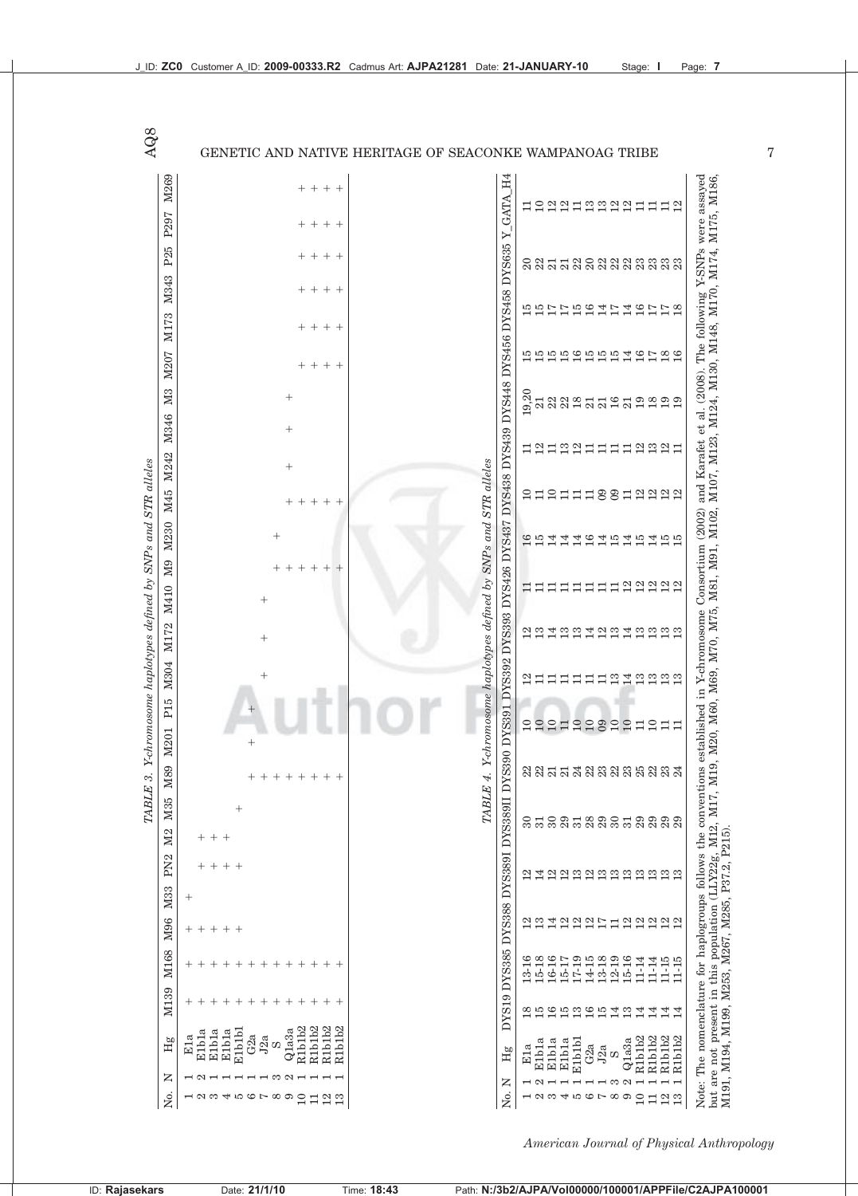| M269              | $^{+}$<br>$^{+}$<br>$^{+}$<br>$^{+}$                                                                                                                                 |                                                       | H4                                                                                                             | assayed<br>$\overline{2}$<br>$\overline{2}$<br><b>HAAAAH</b><br>$\Omega$<br>$\mathbf{z}$<br>ᄇ<br>ᄇ                                                                                                                                                                          |
|-------------------|----------------------------------------------------------------------------------------------------------------------------------------------------------------------|-------------------------------------------------------|----------------------------------------------------------------------------------------------------------------|-----------------------------------------------------------------------------------------------------------------------------------------------------------------------------------------------------------------------------------------------------------------------------|
| P <sub>29</sub> 7 | $^+$<br>$^{+}$<br>$+$ $+$                                                                                                                                            |                                                       | GATA<br>$\triangleright$                                                                                       |                                                                                                                                                                                                                                                                             |
| P25               | $^+$<br>$^{+}$<br>$+$ $+$                                                                                                                                            |                                                       | DYS635                                                                                                         | Y-SNPs were<br>22<br>$\overline{20}$<br>2223<br>23<br>22<br>23<br>21<br>21                                                                                                                                                                                                  |
| M343              | $+$ +<br>$^+$<br>$^+$                                                                                                                                                |                                                       |                                                                                                                |                                                                                                                                                                                                                                                                             |
| M173              | $^{+}$<br>$+$ +<br>$^+$                                                                                                                                              |                                                       |                                                                                                                | The following<br>16<br>15 <sub>0</sub><br>17<br>17 <sub>5</sub><br>14<br>14<br>16<br>$\overline{17}$<br>17 <sub>0</sub><br>$\overline{17}$                                                                                                                                  |
| M207              | $^+$<br>$^{+}$<br>$+$ +                                                                                                                                              |                                                       |                                                                                                                | <b>ERRESEREN</b><br>16<br>$\frac{8}{16}$<br>$\overline{17}$                                                                                                                                                                                                                 |
| M <sub>3</sub>    | $^{+}$                                                                                                                                                               |                                                       |                                                                                                                | (2008).<br>19,20<br>$^{22}_{18}$<br>22<br>16<br>19<br>1800<br>21<br>21<br>21<br>21                                                                                                                                                                                          |
| M346              | $^{+}$                                                                                                                                                               |                                                       |                                                                                                                | and Karafet et al.<br>$^{12}$<br>12<br>$\mathbf{z}$<br>$\mathbb{S}$<br>$\mathbf{r}_3$<br>$\frac{2}{11}$<br>ᄇ<br>ᄇ<br>$\Box$<br>ᄇ<br>$\Box$                                                                                                                                  |
| M242              | $^{+}$                                                                                                                                                               |                                                       |                                                                                                                |                                                                                                                                                                                                                                                                             |
| M45               | $^{+}$<br>$^{+}$<br>$\hspace{0.1mm} +$<br>$^{+}$                                                                                                                     |                                                       |                                                                                                                | $_{09}$<br>$\mathcal{S}$<br>$\overline{10}$<br>$\Xi$ $\Omega$<br>222<br>$\Xi$<br>$\Box$<br>$\Box$<br>급<br>급                                                                                                                                                                 |
| M230              | $^{+}$                                                                                                                                                               |                                                       |                                                                                                                | (2002)<br>16<br>15<br>14<br>16<br>1515<br>14.5<br>14<br>14                                                                                                                                                                                                                  |
| M9                | $^{+}$<br>$^{+}$<br>$^{+}$<br>$^{+}$                                                                                                                                 | chromosome haplotypes defined by SNPs and STR alleles | DYS19 DYS385 DYS388 DYS3891 DYS3891 DYS391 DYS391 DYS392 DYS393 DYS426 DYS437 DYS438 DYS448 DYS448 DYS46 DYS45 | Consortium<br>22222<br>ᄇ<br>$\Box$<br>$\Box$<br>Ξ<br>⊟<br>ᆸ<br>ᄇ<br>급                                                                                                                                                                                                       |
| M410              | $^{+}$                                                                                                                                                               |                                                       |                                                                                                                |                                                                                                                                                                                                                                                                             |
| M172              | $^{+}$                                                                                                                                                               |                                                       |                                                                                                                | $\frac{3}{13}$<br>29<br>$\overline{14}$<br>14<br>222<br>$\mathfrak{D}$<br>$\begin{array}{c} 23 \\ 24 \\ 35 \end{array}$                                                                                                                                                     |
| M304              | $^{+}$                                                                                                                                                               |                                                       |                                                                                                                | 12<br>13<br>14<br>13<br>13<br>$\frac{3}{13}$<br>口<br>口<br>Ξ<br>ᄇ<br>口<br>□                                                                                                                                                                                                  |
| P <sub>15</sub>   |                                                                                                                                                                      |                                                       |                                                                                                                | established in Y-chromosome<br>$\overline{10}$<br>$\overline{10}$<br>10<br>10<br>$\frac{09}{10}$<br>10<br>10<br>10<br>$\Box$<br>$\Box$<br>급<br>Η                                                                                                                            |
| M201              | $^{+}$                                                                                                                                                               | ↣                                                     |                                                                                                                | H # 2 3 2 3 3 2 3 2 3 4<br>22<br>$\overline{21}$                                                                                                                                                                                                                            |
| <b>M89</b><br>M35 | $+ + +$<br>$^{+}$<br>$^{+}$<br>$^{+}$<br>$^{+}$<br>$^{+}$                                                                                                            | TABLE 4.                                              |                                                                                                                |                                                                                                                                                                                                                                                                             |
| M <sub>2</sub>    | $^{+}$<br>$+$ +                                                                                                                                                      |                                                       |                                                                                                                | casagcasaga<br>$30\,$<br>31                                                                                                                                                                                                                                                 |
| PN <sub>2</sub>   | $^+$<br>$^{+}$<br>$+$ +                                                                                                                                              |                                                       |                                                                                                                | 14<br>22223323323<br>12                                                                                                                                                                                                                                                     |
| M33               | $^{+}$                                                                                                                                                               |                                                       |                                                                                                                |                                                                                                                                                                                                                                                                             |
| M96               | $^{+}$<br>$^{+}$<br>$^{+}$<br>$^{+}$<br>$^{+}$                                                                                                                       |                                                       |                                                                                                                | $2222$<br>22222<br>$\frac{2}{13}$<br>14<br>$\Box$                                                                                                                                                                                                                           |
| M168              | $^+$<br>$^{+}$<br>$^{+}$<br>$^+$<br>$^{+}$<br>$^{+}$<br>$^{+}$<br>$^{+}$<br>$^{+}$<br>$^{+}$                                                                         |                                                       |                                                                                                                | 13-16<br>15-18<br>16-16<br>$17 - 19$<br>14-15<br>13-18<br>12-19<br>15-16<br>15-17<br>11-14<br>11-14<br>$11-15$<br>$11-15$                                                                                                                                                   |
| M139              | $^{+}$<br>$^{+}$<br>$^{+}$<br>$^{+}$<br>$^{+}$<br>$^{+}$<br>$^{+}$<br>$^{+}$<br>$^{+}$<br>$^{+}$<br>$^{+}$<br>$^{+}$                                                 |                                                       |                                                                                                                | 8999899<br>14<br>က<br>14<br>$\overline{14}$<br>4<br>$\overline{14}$<br>$\overline{\phantom{0}}$                                                                                                                                                                             |
| $\rm H_g$         | R1b1b2<br>R1b1b2<br>R <sub>1</sub> b <sub>1b2</sub><br>R1b1b2<br>E1b <sub>1b1</sub><br>E1b1a<br>Q1a3a<br>Elbla<br>E1b1a<br>G <sub>2a</sub><br>Ela<br>J2a<br>$\infty$ |                                                       | $\mathbb{H}^{\alpha}_{\mathcal{B}}$                                                                            | The nomenclature for haplogroups follows the conventions<br>R <sub>1</sub> b <sub>1b2</sub><br>R1b1b2<br>R1b1b2<br>R <sub>1</sub> b <sub>1b2</sub><br>E1b <sub>1</sub> b <sub>1</sub><br>E1b1a<br>E1b1a<br>Q <sub>1a3a</sub><br>E1b1a<br>G <sub>2a</sub><br>J2a<br>Ela<br>S |
| $\simeq$          | $\overline{ }$<br>$\overline{ }$<br>$ \infty$ $\infty$<br>$\overline{\phantom{0}}$<br>$\overline{\phantom{0}}$                                                       |                                                       | z                                                                                                              | $\mathbf{\Omega}$<br>S                                                                                                                                                                                                                                                      |
| Σó                | က<br>e corant<br>$^{12}_{13}$<br>$\sim$<br>$\Box$                                                                                                                    |                                                       | $\rm \stackrel{\circ}{X}$                                                                                      | Note:<br>S<br>G<br>13<br>N<br>4<br>ю<br>∞ ာ<br>$\Xi$<br>$\overline{2}$<br>r<br>ᄇ                                                                                                                                                                                            |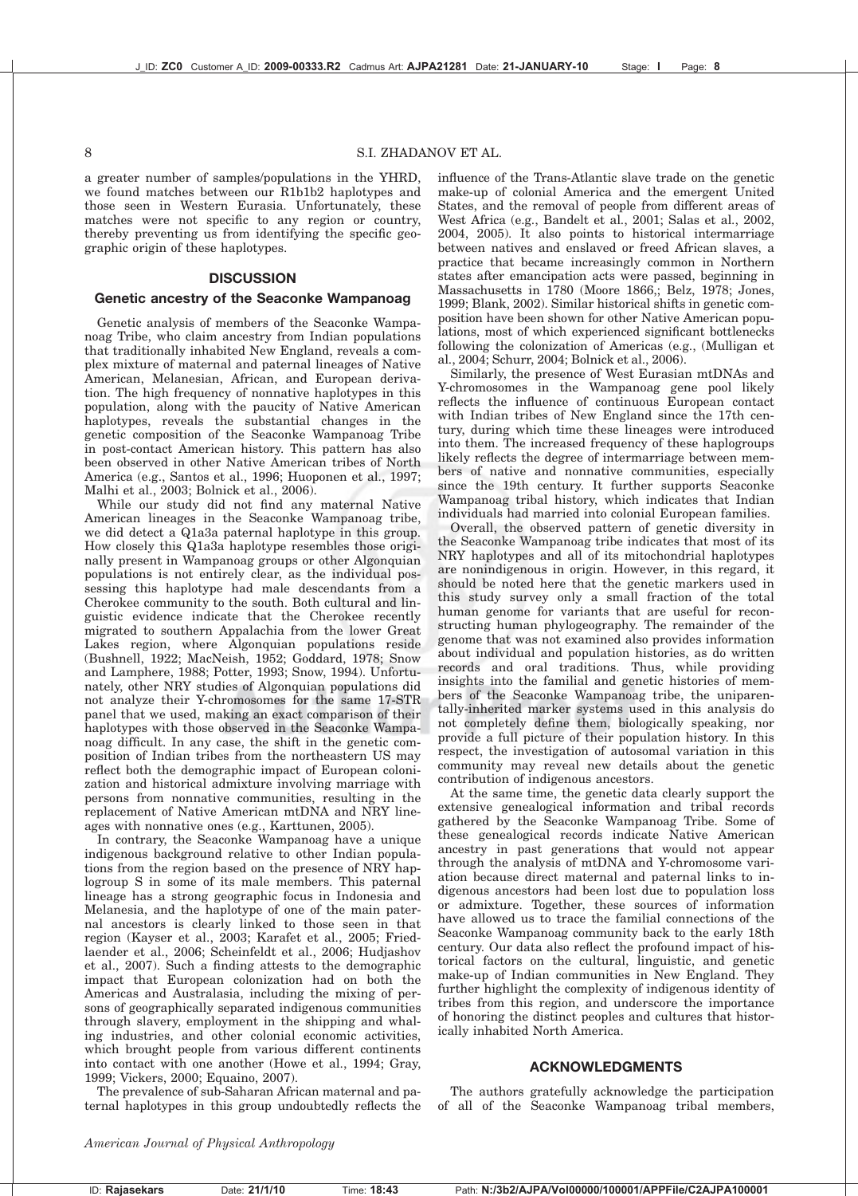## 8 S.I. ZHADANOV ET AL.

a greater number of samples/populations in the YHRD, we found matches between our R1b1b2 haplotypes and those seen in Western Eurasia. Unfortunately, these matches were not specific to any region or country, thereby preventing us from identifying the specific geographic origin of these haplotypes.

## **DISCUSSION**

#### Genetic ancestry of the Seaconke Wampanoag

Genetic analysis of members of the Seaconke Wampanoag Tribe, who claim ancestry from Indian populations that traditionally inhabited New England, reveals a complex mixture of maternal and paternal lineages of Native American, Melanesian, African, and European derivation. The high frequency of nonnative haplotypes in this population, along with the paucity of Native American haplotypes, reveals the substantial changes in the genetic composition of the Seaconke Wampanoag Tribe in post-contact American history. This pattern has also been observed in other Native American tribes of North America (e.g., Santos et al., 1996; Huoponen et al., 1997; Malhi et al., 2003; Bolnick et al., 2006).

While our study did not find any maternal Native American lineages in the Seaconke Wampanoag tribe, we did detect a Q1a3a paternal haplotype in this group. How closely this Q1a3a haplotype resembles those originally present in Wampanoag groups or other Algonquian populations is not entirely clear, as the individual possessing this haplotype had male descendants from a Cherokee community to the south. Both cultural and linguistic evidence indicate that the Cherokee recently migrated to southern Appalachia from the lower Great Lakes region, where Algonquian populations reside (Bushnell, 1922; MacNeish, 1952; Goddard, 1978; Snow and Lamphere, 1988; Potter, 1993; Snow, 1994). Unfortunately, other NRY studies of Algonquian populations did not analyze their Y-chromosomes for the same 17-STR panel that we used, making an exact comparison of their haplotypes with those observed in the Seaconke Wampanoag difficult. In any case, the shift in the genetic composition of Indian tribes from the northeastern US may reflect both the demographic impact of European colonization and historical admixture involving marriage with persons from nonnative communities, resulting in the replacement of Native American mtDNA and NRY lineages with nonnative ones (e.g., Karttunen, 2005).

In contrary, the Seaconke Wampanoag have a unique indigenous background relative to other Indian populations from the region based on the presence of NRY haplogroup S in some of its male members. This paternal lineage has a strong geographic focus in Indonesia and Melanesia, and the haplotype of one of the main paternal ancestors is clearly linked to those seen in that region (Kayser et al., 2003; Karafet et al., 2005; Friedlaender et al., 2006; Scheinfeldt et al., 2006; Hudjashov et al., 2007). Such a finding attests to the demographic impact that European colonization had on both the Americas and Australasia, including the mixing of persons of geographically separated indigenous communities through slavery, employment in the shipping and whaling industries, and other colonial economic activities, which brought people from various different continents into contact with one another (Howe et al., 1994; Gray, 1999; Vickers, 2000; Equaino, 2007).

The prevalence of sub-Saharan African maternal and paternal haplotypes in this group undoubtedly reflects the influence of the Trans-Atlantic slave trade on the genetic make-up of colonial America and the emergent United States, and the removal of people from different areas of West Africa (e.g., Bandelt et al., 2001; Salas et al., 2002, 2004, 2005). It also points to historical intermarriage between natives and enslaved or freed African slaves, a practice that became increasingly common in Northern states after emancipation acts were passed, beginning in Massachusetts in 1780 (Moore 1866,; Belz, 1978; Jones, 1999; Blank, 2002). Similar historical shifts in genetic composition have been shown for other Native American populations, most of which experienced significant bottlenecks following the colonization of Americas (e.g., (Mulligan et al., 2004; Schurr, 2004; Bolnick et al., 2006).

Similarly, the presence of West Eurasian mtDNAs and Y-chromosomes in the Wampanoag gene pool likely reflects the influence of continuous European contact with Indian tribes of New England since the 17th century, during which time these lineages were introduced into them. The increased frequency of these haplogroups likely reflects the degree of intermarriage between members of native and nonnative communities, especially since the 19th century. It further supports Seaconke Wampanoag tribal history, which indicates that Indian individuals had married into colonial European families.

Overall, the observed pattern of genetic diversity in the Seaconke Wampanoag tribe indicates that most of its NRY haplotypes and all of its mitochondrial haplotypes are nonindigenous in origin. However, in this regard, it should be noted here that the genetic markers used in this study survey only a small fraction of the total human genome for variants that are useful for reconstructing human phylogeography. The remainder of the genome that was not examined also provides information about individual and population histories, as do written records and oral traditions. Thus, while providing insights into the familial and genetic histories of members of the Seaconke Wampanoag tribe, the uniparentally-inherited marker systems used in this analysis do not completely define them, biologically speaking, nor provide a full picture of their population history. In this respect, the investigation of autosomal variation in this community may reveal new details about the genetic contribution of indigenous ancestors.

At the same time, the genetic data clearly support the extensive genealogical information and tribal records gathered by the Seaconke Wampanoag Tribe. Some of these genealogical records indicate Native American ancestry in past generations that would not appear through the analysis of mtDNA and Y-chromosome variation because direct maternal and paternal links to indigenous ancestors had been lost due to population loss or admixture. Together, these sources of information have allowed us to trace the familial connections of the Seaconke Wampanoag community back to the early 18th century. Our data also reflect the profound impact of historical factors on the cultural, linguistic, and genetic make-up of Indian communities in New England. They further highlight the complexity of indigenous identity of tribes from this region, and underscore the importance of honoring the distinct peoples and cultures that historically inhabited North America.

## ACKNOWLEDGMENTS

The authors gratefully acknowledge the participation of all of the Seaconke Wampanoag tribal members,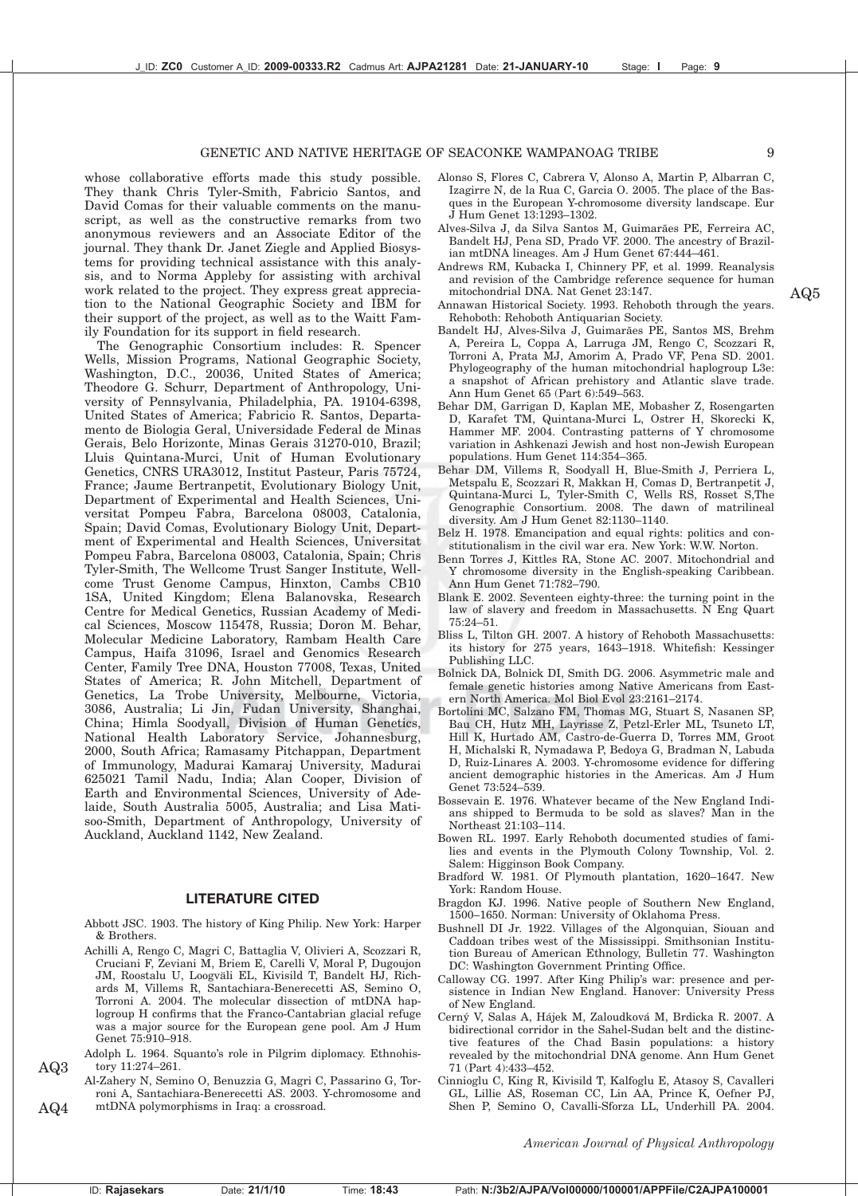whose collaborative efforts made this study possible. They thank Chris Tyler-Smith, Fabricio Santos, and David Comas for their valuable comments on the manuscript, as well as the constructive remarks from two anonymous reviewers and an Associate Editor of the journal. They thank Dr. Janet Ziegle and Applied Biosystems for providing technical assistance with this analysis, and to Norma Appleby for assisting with archival work related to the project. They express great appreciation to the National Geographic Society and IBM for their support of the project, as well as to the Waitt Family Foundation for its support in field research.

The Genographic Consortium includes: R. Spencer Wells, Mission Programs, National Geographic Society, Washington, D.C., 20036, United States of America; Theodore G. Schurr, Department of Anthropology, University of Pennsylvania, Philadelphia, PA. 19104-6398, United States of America; Fabricio R. Santos, Departamento de Biologia Geral, Universidade Federal de Minas Gerais, Belo Horizonte, Minas Gerais 31270-010, Brazil; Lluis Quintana-Murci, Unit of Human Evolutionary Genetics, CNRS URA3012, Institut Pasteur, Paris 75724, France; Jaume Bertranpetit, Evolutionary Biology Unit, Department of Experimental and Health Sciences, Universitat Pompeu Fabra, Barcelona 08003, Catalonia, Spain; David Comas, Evolutionary Biology Unit, Department of Experimental and Health Sciences, Universitat Pompeu Fabra, Barcelona 08003, Catalonia, Spain; Chris Tyler-Smith, The Wellcome Trust Sanger Institute, Wellcome Trust Genome Campus, Hinxton, Cambs CB10 1SA, United Kingdom; Elena Balanovska, Research Centre for Medical Genetics, Russian Academy of Medical Sciences, Moscow 115478, Russia; Doron M. Behar, Molecular Medicine Laboratory, Rambam Health Care Campus, Haifa 31096, Israel and Genomics Research Center, Family Tree DNA, Houston 77008, Texas, United States of America; R. John Mitchell, Department of Genetics, La Trobe University, Melbourne, Victoria, 3086, Australia; Li Jin, Fudan University, Shanghai, China; Himla Soodyall, Division of Human Genetics, National Health Laboratory Service, Johannesburg, 2000, South Africa; Ramasamy Pitchappan, Department of Immunology, Madurai Kamaraj University, Madurai 625021 Tamil Nadu, India; Alan Cooper, Division of Earth and Environmental Sciences, University of Adelaide, South Australia 5005, Australia; and Lisa Matisoo-Smith, Department of Anthropology, University of Auckland, Auckland 1142, New Zealand.

# LITERATURE CITED

- Abbott JSC. 1903. The history of King Philip. New York: Harper & Brothers.
- Achilli A, Rengo C, Magri C, Battaglia V, Olivieri A, Scozzari R, Cruciani F, Zeviani M, Briem E, Carelli V, Moral P, Dugoujon JM, Roostalu U, Loogväli EL, Kivisild T, Bandelt HJ, Richards M, Villems R, Santachiara-Benerecetti AS, Semino O, Torroni A. 2004. The molecular dissection of mtDNA haplogroup H confirms that the Franco-Cantabrian glacial refuge was a major source for the European gene pool. Am J Hum Genet 75:910–918.
- Adolph L. 1964. Squanto's role in Pilgrim diplomacy. Ethnohis-AQ3 tory 11:274–261.
- Al-Zahery N, Semino O, Benuzzia G, Magri C, Passarino G, Torroni A, Santachiara-Benerecetti AS. 2003. Y-chromosome and AQ4 mtDNA polymorphisms in Iraq: a crossroad.
- Alonso S, Flores C, Cabrera V, Alonso A, Martin P, Albarran C, Izagirre N, de la Rua C, Garcia O. 2005. The place of the Basques in the European Y-chromosome diversity landscape. Eur J Hum Genet 13:1293–1302.
- Alves-Silva J, da Silva Santos M, Guimarães PE, Ferreira AC, Bandelt HJ, Pena SD, Prado VF. 2000. The ancestry of Brazilian mtDNA lineages. Am J Hum Genet 67:444–461.
- Andrews RM, Kubacka I, Chinnery PF, et al. 1999. Reanalysis and revision of the Cambridge reference sequence for human
- mitochondrial DNA. Nat Genet 23:147.  $\overline{AQ5}$ <br>Annawan Historical Society. 1993. Rehoboth through the years. Rehoboth: Rehoboth Antiquarian Society.
- Bandelt HJ, Alves-Silva J, Guimarães PE, Santos MS, Brehm A, Pereira L, Coppa A, Larruga JM, Rengo C, Scozzari R, Torroni A, Prata MJ, Amorim A, Prado VF, Pena SD. 2001. Phylogeography of the human mitochondrial haplogroup L3e: a snapshot of African prehistory and Atlantic slave trade. Ann Hum Genet 65 (Part 6):549–563.
- Behar DM, Garrigan D, Kaplan ME, Mobasher Z, Rosengarten D, Karafet TM, Quintana-Murci L, Ostrer H, Skorecki K, Hammer MF. 2004. Contrasting patterns of Y chromosome variation in Ashkenazi Jewish and host non-Jewish European populations. Hum Genet 114:354–365.
- Behar DM, Villems R, Soodyall H, Blue-Smith J, Perriera L, Metspalu E, Scozzari R, Makkan H, Comas D, Bertranpetit J, Quintana-Murci L, Tyler-Smith C, Wells RS, Rosset S,The Genographic Consortium. 2008. The dawn of matrilineal diversity. Am J Hum Genet 82:1130–1140.
- Belz H. 1978. Emancipation and equal rights: politics and constitutionalism in the civil war era. New York: W.W. Norton.
- Benn Torres J, Kittles RA, Stone AC. 2007. Mitochondrial and Y chromosome diversity in the English-speaking Caribbean. Ann Hum Genet 71:782–790.
- Blank E. 2002. Seventeen eighty-three: the turning point in the law of slavery and freedom in Massachusetts. N Eng Quart 75:24–51.
- Bliss L, Tilton GH. 2007. A history of Rehoboth Massachusetts: its history for 275 years, 1643–1918. Whitefish: Kessinger Publishing LLC.
- Bolnick DA, Bolnick DI, Smith DG. 2006. Asymmetric male and female genetic histories among Native Americans from Eastern North America. Mol Biol Evol 23:2161–2174.
- Bortolini MC, Salzano FM, Thomas MG, Stuart S, Nasanen SP, Bau CH, Hutz MH, Layrisse Z, Petzl-Erler ML, Tsuneto LT, Hill K, Hurtado AM, Castro-de-Guerra D, Torres MM, Groot H, Michalski R, Nymadawa P, Bedoya G, Bradman N, Labuda D, Ruiz-Linares A. 2003. Y-chromosome evidence for differing ancient demographic histories in the Americas. Am J Hum Genet 73:524–539.
- Bossevain E. 1976. Whatever became of the New England Indians shipped to Bermuda to be sold as slaves? Man in the Northeast 21:103–114.
- Bowen RL. 1997. Early Rehoboth documented studies of families and events in the Plymouth Colony Township, Vol. 2. Salem: Higginson Book Company.
- Bradford W. 1981. Of Plymouth plantation, 1620–1647. New York: Random House.
- Bragdon KJ. 1996. Native people of Southern New England, 1500–1650. Norman: University of Oklahoma Press.
- Bushnell DI Jr. 1922. Villages of the Algonquian, Siouan and Caddoan tribes west of the Mississippi. Smithsonian Institution Bureau of American Ethnology, Bulletin 77. Washington DC: Washington Government Printing Office.
- Calloway CG. 1997. After King Philip's war: presence and persistence in Indian New England. Hanover: University Press of New England.
- Cerny´ V, Salas A, Ha´jek M, Zaloudkova´ M, Brdicka R. 2007. A bidirectional corridor in the Sahel-Sudan belt and the distinctive features of the Chad Basin populations: a history revealed by the mitochondrial DNA genome. Ann Hum Genet 71 (Part 4):433–452.
- Cinnioglu C, King R, Kivisild T, Kalfoglu E, Atasoy S, Cavalleri GL, Lillie AS, Roseman CC, Lin AA, Prince K, Oefner PJ, Shen P, Semino O, Cavalli-Sforza LL, Underhill PA. 2004.

American Journal of Physical Anthropology

ID: Rajasekars Date: 21/1/10 Time: 18:43 Path: N:/3b2/AJPA/Vol00000/100001/APPFile/C2AJPA100001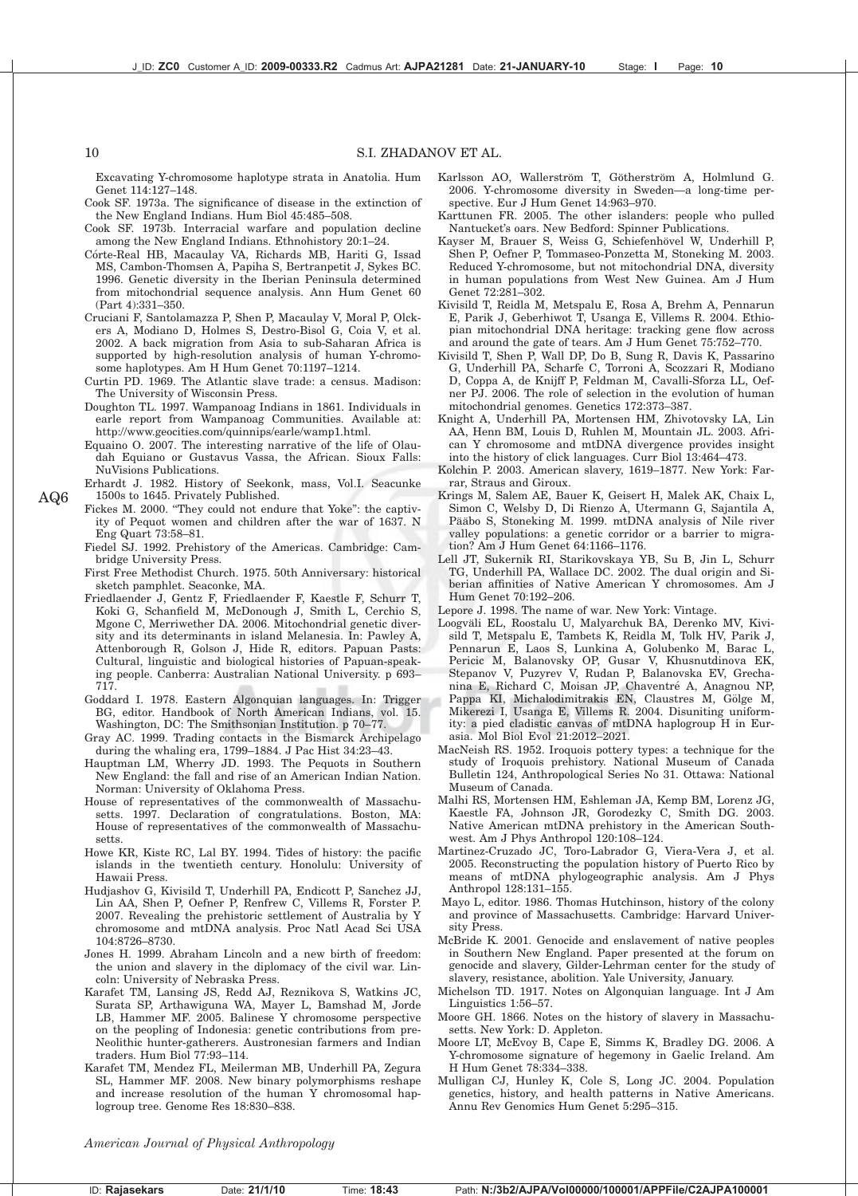Excavating Y-chromosome haplotype strata in Anatolia. Hum Genet 114:127–148.

- Cook SF. 1973a. The significance of disease in the extinction of the New England Indians. Hum Biol 45:485–508.
- Cook SF. 1973b. Interracial warfare and population decline among the New England Indians. Ethnohistory 20:1–24.
- Córte-Real HB, Macaulay VA, Richards MB, Hariti G, Issad MS, Cambon-Thomsen A, Papiha S, Bertranpetit J, Sykes BC. 1996. Genetic diversity in the Iberian Peninsula determined from mitochondrial sequence analysis. Ann Hum Genet 60 (Part 4):331–350.
- Cruciani F, Santolamazza P, Shen P, Macaulay V, Moral P, Olckers A, Modiano D, Holmes S, Destro-Bisol G, Coia V, et al. 2002. A back migration from Asia to sub-Saharan Africa is supported by high-resolution analysis of human Y-chromosome haplotypes. Am H Hum Genet 70:1197–1214.
- Curtin PD. 1969. The Atlantic slave trade: a census. Madison: The University of Wisconsin Press.
- Doughton TL. 1997. Wampanoag Indians in 1861. Individuals in earle report from Wampanoag Communities. Available at: http://www.geocities.com/quinnips/earle/wamp1.html.
- Equaino O. 2007. The interesting narrative of the life of Olaudah Equiano or Gustavus Vassa, the African. Sioux Falls: NuVisions Publications.
- Erhardt J. 1982. History of Seekonk, mass, Vol.I. Seacunke AQ6 1500s to 1645. Privately Published.
	- Fickes M. 2000. "They could not endure that Yoke": the captivity of Pequot women and children after the war of 1637. N Eng Quart 73:58–81.
	- Fiedel SJ. 1992. Prehistory of the Americas. Cambridge: Cambridge University Press.
	- First Free Methodist Church. 1975. 50th Anniversary: historical sketch pamphlet. Seaconke, MA.
	- Friedlaender J, Gentz F, Friedlaender F, Kaestle F, Schurr T, Koki G, Schanfield M, McDonough J, Smith L, Cerchio S, Mgone C, Merriwether DA. 2006. Mitochondrial genetic diversity and its determinants in island Melanesia. In: Pawley A, Attenborough R, Golson J, Hide R, editors. Papuan Pasts: Cultural, linguistic and biological histories of Papuan-speaking people. Canberra: Australian National University. p 693– 717.
	- Goddard I. 1978. Eastern Algonquian languages. In: Trigger BG, editor. Handbook of North American Indians, vol. 15. Washington, DC: The Smithsonian Institution. p 70–77.
	- Gray AC. 1999. Trading contacts in the Bismarck Archipelago during the whaling era, 1799–1884. J Pac Hist 34:23–43.
	- Hauptman LM, Wherry JD. 1993. The Pequots in Southern New England: the fall and rise of an American Indian Nation. Norman: University of Oklahoma Press.
	- House of representatives of the commonwealth of Massachusetts. 1997. Declaration of congratulations. Boston, MA: House of representatives of the commonwealth of Massachusetts.
	- Howe KR, Kiste RC, Lal BY. 1994. Tides of history: the pacific islands in the twentieth century. Honolulu: University of Hawaii Press.
	- Hudjashov G, Kivisild T, Underhill PA, Endicott P, Sanchez JJ, Lin AA, Shen P, Oefner P, Renfrew C, Villems R, Forster P. 2007. Revealing the prehistoric settlement of Australia by Y chromosome and mtDNA analysis. Proc Natl Acad Sci USA 104:8726–8730.
	- Jones H. 1999. Abraham Lincoln and a new birth of freedom: the union and slavery in the diplomacy of the civil war. Lincoln: University of Nebraska Press.
	- Karafet TM, Lansing JS, Redd AJ, Reznikova S, Watkins JC, Surata SP, Arthawiguna WA, Mayer L, Bamshad M, Jorde LB, Hammer MF. 2005. Balinese Y chromosome perspective on the peopling of Indonesia: genetic contributions from pre-Neolithic hunter-gatherers. Austronesian farmers and Indian traders. Hum Biol 77:93–114.
	- Karafet TM, Mendez FL, Meilerman MB, Underhill PA, Zegura SL, Hammer MF. 2008. New binary polymorphisms reshape and increase resolution of the human Y chromosomal haplogroup tree. Genome Res 18:830–838.

Karlsson AO, Wallerström T, Götherström A, Holmlund G. 2006. Y-chromosome diversity in Sweden—a long-time perspective. Eur J Hum Genet 14:963–970.

- Karttunen FR. 2005. The other islanders: people who pulled Nantucket's oars. New Bedford: Spinner Publications.
- Kayser M, Brauer S, Weiss G, Schiefenhövel W, Underhill P, Shen P, Oefner P, Tommaseo-Ponzetta M, Stoneking M. 2003. Reduced Y-chromosome, but not mitochondrial DNA, diversity in human populations from West New Guinea. Am J Hum Genet 72:281–302.
- Kivisild T, Reidla M, Metspalu E, Rosa A, Brehm A, Pennarun E, Parik J, Geberhiwot T, Usanga E, Villems R. 2004. Ethiopian mitochondrial DNA heritage: tracking gene flow across and around the gate of tears. Am J Hum Genet 75:752–770.
- Kivisild T, Shen P, Wall DP, Do B, Sung R, Davis K, Passarino G, Underhill PA, Scharfe C, Torroni A, Scozzari R, Modiano D, Coppa A, de Knijff P, Feldman M, Cavalli-Sforza LL, Oefner PJ. 2006. The role of selection in the evolution of human mitochondrial genomes. Genetics 172:373–387.
- Knight A, Underhill PA, Mortensen HM, Zhivotovsky LA, Lin AA, Henn BM, Louis D, Ruhlen M, Mountain JL. 2003. African Y chromosome and mtDNA divergence provides insight into the history of click languages. Curr Biol 13:464–473.
- Kolchin P. 2003. American slavery, 1619–1877. New York: Farrar, Straus and Giroux.
- Krings M, Salem AE, Bauer K, Geisert H, Malek AK, Chaix L, Simon C, Welsby D, Di Rienzo A, Utermann G, Sajantila A, Pääbo S, Stoneking M. 1999. mtDNA analysis of Nile river valley populations: a genetic corridor or a barrier to migration? Am J Hum Genet 64:1166–1176.
- Lell JT, Sukernik RI, Starikovskaya YB, Su B, Jin L, Schurr TG, Underhill PA, Wallace DC. 2002. The dual origin and Siberian affinities of Native American Y chromosomes. Am J Hum Genet 70:192–206.
- Lepore J. 1998. The name of war. New York: Vintage.
- Loogväli EL, Roostalu U, Malyarchuk BA, Derenko MV, Kivisild T, Metspalu E, Tambets K, Reidla M, Tolk HV, Parik J, Pennarun E, Laos S, Lunkina A, Golubenko M, Barac L, Pericic M, Balanovsky OP, Gusar V, Khusnutdinova EK, Stepanov V, Puzyrev V, Rudan P, Balanovska EV, Grechanina E, Richard C, Moisan JP, Chaventré A, Anagnou NP, Pappa KI, Michalodimitrakis EN, Claustres M, Gölge M, Mikerezi I, Usanga E, Villems R. 2004. Disuniting uniformity: a pied cladistic canvas of mtDNA haplogroup H in Eurasia. Mol Biol Evol 21:2012–2021.
- MacNeish RS. 1952. Iroquois pottery types: a technique for the study of Iroquois prehistory. National Museum of Canada Bulletin 124, Anthropological Series No 31. Ottawa: National Museum of Canada.
- Malhi RS, Mortensen HM, Eshleman JA, Kemp BM, Lorenz JG, Kaestle FA, Johnson JR, Gorodezky C, Smith DG. 2003. Native American mtDNA prehistory in the American Southwest. Am J Phys Anthropol 120:108–124.
- Martinez-Cruzado JC, Toro-Labrador G, Viera-Vera J, et al. 2005. Reconstructing the population history of Puerto Rico by means of mtDNA phylogeographic analysis. Am J Phys Anthropol 128:131–155.
- Mayo L, editor. 1986. Thomas Hutchinson, history of the colony and province of Massachusetts. Cambridge: Harvard University Press.
- McBride K. 2001. Genocide and enslavement of native peoples in Southern New England. Paper presented at the forum on genocide and slavery, Gilder-Lehrman center for the study of slavery, resistance, abolition. Yale University, January.
- Michelson TD. 1917. Notes on Algonquian language. Int J Am Linguistics 1:56–57.
- Moore GH. 1866. Notes on the history of slavery in Massachusetts. New York: D. Appleton.
- Moore LT, McEvoy B, Cape E, Simms K, Bradley DG. 2006. A Y-chromosome signature of hegemony in Gaelic Ireland. Am H Hum Genet 78:334–338.
- Mulligan CJ, Hunley K, Cole S, Long JC. 2004. Population genetics, history, and health patterns in Native Americans. Annu Rev Genomics Hum Genet 5:295–315.

American Journal of Physical Anthropology

ID: Rajasekars Date: 21/1/10 Time: 18:43 Path: N:/3b2/AJPA/Vol00000/100001/APPFile/C2AJPA100001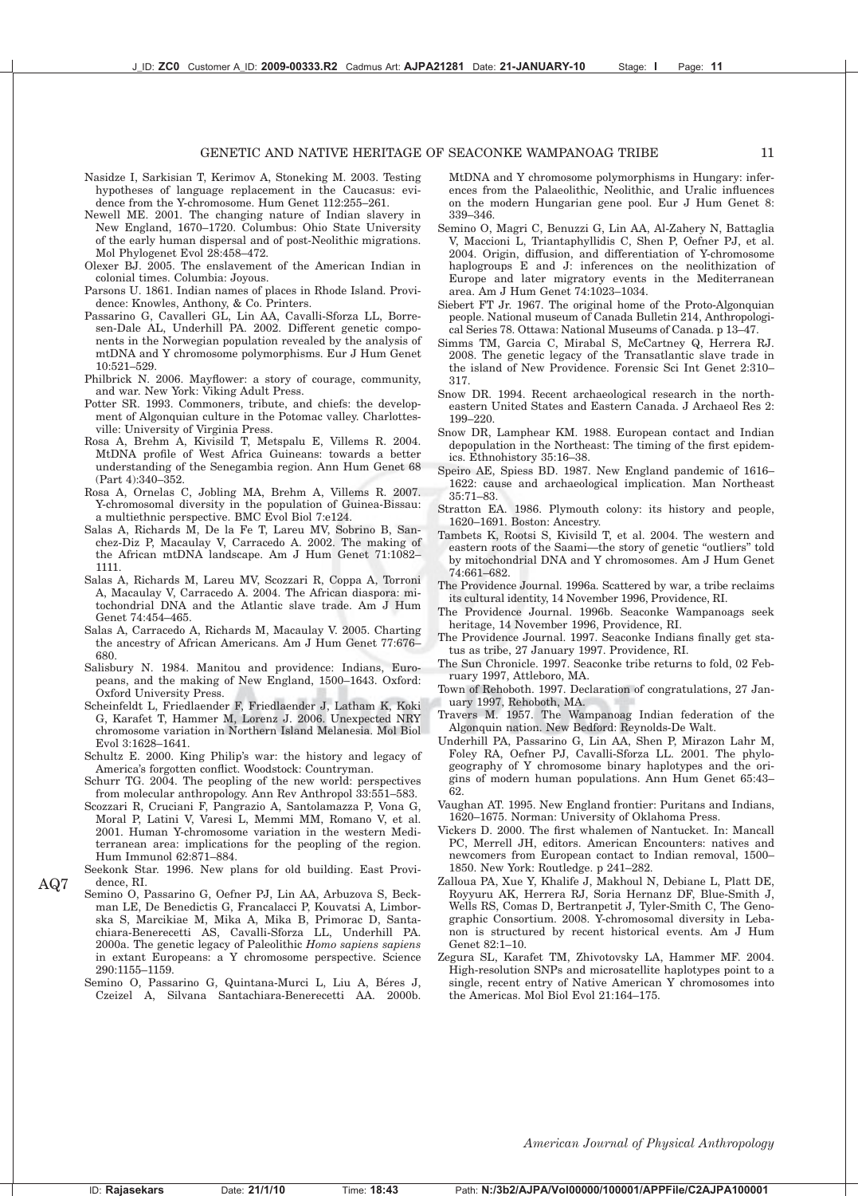- Nasidze I, Sarkisian T, Kerimov A, Stoneking M. 2003. Testing hypotheses of language replacement in the Caucasus: evidence from the Y-chromosome. Hum Genet 112:255–261.
- Newell ME. 2001. The changing nature of Indian slavery in New England, 1670–1720. Columbus: Ohio State University of the early human dispersal and of post-Neolithic migrations. Mol Phylogenet Evol 28:458–472.
- Olexer BJ. 2005. The enslavement of the American Indian in colonial times. Columbia: Joyous.
- Parsons U. 1861. Indian names of places in Rhode Island. Providence: Knowles, Anthony, & Co. Printers.
- Passarino G, Cavalleri GL, Lin AA, Cavalli-Sforza LL, Borresen-Dale AL, Underhill PA. 2002. Different genetic components in the Norwegian population revealed by the analysis of mtDNA and Y chromosome polymorphisms. Eur J Hum Genet 10:521–529.
- Philbrick N. 2006. Mayflower: a story of courage, community, and war. New York: Viking Adult Press.
- Potter SR. 1993. Commoners, tribute, and chiefs: the development of Algonquian culture in the Potomac valley. Charlottesville: University of Virginia Press.
- Rosa A, Brehm A, Kivisild T, Metspalu E, Villems R. 2004. MtDNA profile of West Africa Guineans: towards a better understanding of the Senegambia region. Ann Hum Genet 68 (Part 4):340–352.
- Rosa A, Ornelas C, Jobling MA, Brehm A, Villems R. 2007. Y-chromosomal diversity in the population of Guinea-Bissau: a multiethnic perspective. BMC Evol Biol 7:e124.
- Salas A, Richards M, De la Fe T, Lareu MV, Sobrino B, Sanchez-Diz P, Macaulay V, Carracedo A. 2002. The making of the African mtDNA landscape. Am J Hum Genet 71:1082– 1111.
- Salas A, Richards M, Lareu MV, Scozzari R, Coppa A, Torroni A, Macaulay V, Carracedo A. 2004. The African diaspora: mitochondrial DNA and the Atlantic slave trade. Am J Hum Genet 74:454–465.
- Salas A, Carracedo A, Richards M, Macaulay V. 2005. Charting the ancestry of African Americans. Am J Hum Genet 77:676– 680.
- Salisbury N. 1984. Manitou and providence: Indians, Europeans, and the making of New England, 1500–1643. Oxford: Oxford University Press.
- Scheinfeldt L, Friedlaender F, Friedlaender J, Latham K, Koki G, Karafet T, Hammer M, Lorenz J. 2006. Unexpected NRY chromosome variation in Northern Island Melanesia. Mol Biol Evol 3:1628–1641.
- Schultz E. 2000. King Philip's war: the history and legacy of America's forgotten conflict. Woodstock: Countryman.
- Schurr TG. 2004. The peopling of the new world: perspectives from molecular anthropology. Ann Rev Anthropol 33:551–583.
- Scozzari R, Cruciani F, Pangrazio A, Santolamazza P, Vona G, Moral P, Latini V, Varesi L, Memmi MM, Romano V, et al. 2001. Human Y-chromosome variation in the western Mediterranean area: implications for the peopling of the region. Hum Immunol 62:871–884.

Seekonk Star. 1996. New plans for old building. East Provi-AQ7 dence, RI.

- Semino O, Passarino G, Oefner PJ, Lin AA, Arbuzova S, Beckman LE, De Benedictis G, Francalacci P, Kouvatsi A, Limborska S, Marcikiae M, Mika A, Mika B, Primorac D, Santachiara-Benerecetti AS, Cavalli-Sforza LL, Underhill PA. 2000a. The genetic legacy of Paleolithic Homo sapiens sapiens in extant Europeans: a Y chromosome perspective. Science 290:1155–1159.
- Semino O, Passarino G, Quintana-Murci L, Liu A, Béres J, Czeizel A, Silvana Santachiara-Benerecetti AA. 2000b.

MtDNA and Y chromosome polymorphisms in Hungary: inferences from the Palaeolithic, Neolithic, and Uralic influences on the modern Hungarian gene pool. Eur J Hum Genet 8: 339–346.

- Semino O, Magri C, Benuzzi G, Lin AA, Al-Zahery N, Battaglia V, Maccioni L, Triantaphyllidis C, Shen P, Oefner PJ, et al. 2004. Origin, diffusion, and differentiation of Y-chromosome haplogroups E and J: inferences on the neolithization of Europe and later migratory events in the Mediterranean area. Am J Hum Genet 74:1023–1034.
- Siebert FT Jr. 1967. The original home of the Proto-Algonquian people. National museum of Canada Bulletin 214, Anthropological Series 78. Ottawa: National Museums of Canada. p 13–47.
- Simms TM, Garcia C, Mirabal S, McCartney Q, Herrera RJ. 2008. The genetic legacy of the Transatlantic slave trade in the island of New Providence. Forensic Sci Int Genet 2:310– 317.
- Snow DR. 1994. Recent archaeological research in the northeastern United States and Eastern Canada. J Archaeol Res 2: 199–220.
- Snow DR, Lamphear KM. 1988. European contact and Indian depopulation in the Northeast: The timing of the first epidemics. Ethnohistory 35:16–38.
- Speiro AE, Spiess BD. 1987. New England pandemic of 1616– 1622: cause and archaeological implication. Man Northeast 35:71–83.
- Stratton EA. 1986. Plymouth colony: its history and people, 1620–1691. Boston: Ancestry.
- Tambets K, Rootsi S, Kivisild T, et al. 2004. The western and eastern roots of the Saami-the story of genetic "outliers" told by mitochondrial DNA and Y chromosomes. Am J Hum Genet 74:661–682.
- The Providence Journal. 1996a. Scattered by war, a tribe reclaims its cultural identity, 14 November 1996, Providence, RI.
- The Providence Journal. 1996b. Seaconke Wampanoags seek heritage, 14 November 1996, Providence, RI.
- The Providence Journal. 1997. Seaconke Indians finally get status as tribe, 27 January 1997. Providence, RI.
- The Sun Chronicle. 1997. Seaconke tribe returns to fold, 02 February 1997, Attleboro, MA.
- Town of Rehoboth. 1997. Declaration of congratulations, 27 January 1997, Rehoboth, MA.
- Travers M. 1957. The Wampanoag Indian federation of the Algonquin nation. New Bedford: Reynolds-De Walt.
- Underhill PA, Passarino G, Lin AA, Shen P, Mirazon Lahr M, Foley RA, Oefner PJ, Cavalli-Sforza LL. 2001. The phylogeography of Y chromosome binary haplotypes and the origins of modern human populations. Ann Hum Genet 65:43– 62.
- Vaughan AT. 1995. New England frontier: Puritans and Indians, 1620–1675. Norman: University of Oklahoma Press.
- Vickers D. 2000. The first whalemen of Nantucket. In: Mancall PC, Merrell JH, editors. American Encounters: natives and newcomers from European contact to Indian removal, 1500– 1850. New York: Routledge. p 241–282.
- Zalloua PA, Xue Y, Khalife J, Makhoul N, Debiane L, Platt DE, Royyuru AK, Herrera RJ, Soria Hernanz DF, Blue-Smith J, Wells RS, Comas D, Bertranpetit J, Tyler-Smith C, The Genographic Consortium. 2008. Y-chromosomal diversity in Lebanon is structured by recent historical events. Am J Hum Genet 82:1–10.
- Zegura SL, Karafet TM, Zhivotovsky LA, Hammer MF. 2004. High-resolution SNPs and microsatellite haplotypes point to a single, recent entry of Native American Y chromosomes into the Americas. Mol Biol Evol 21:164–175.